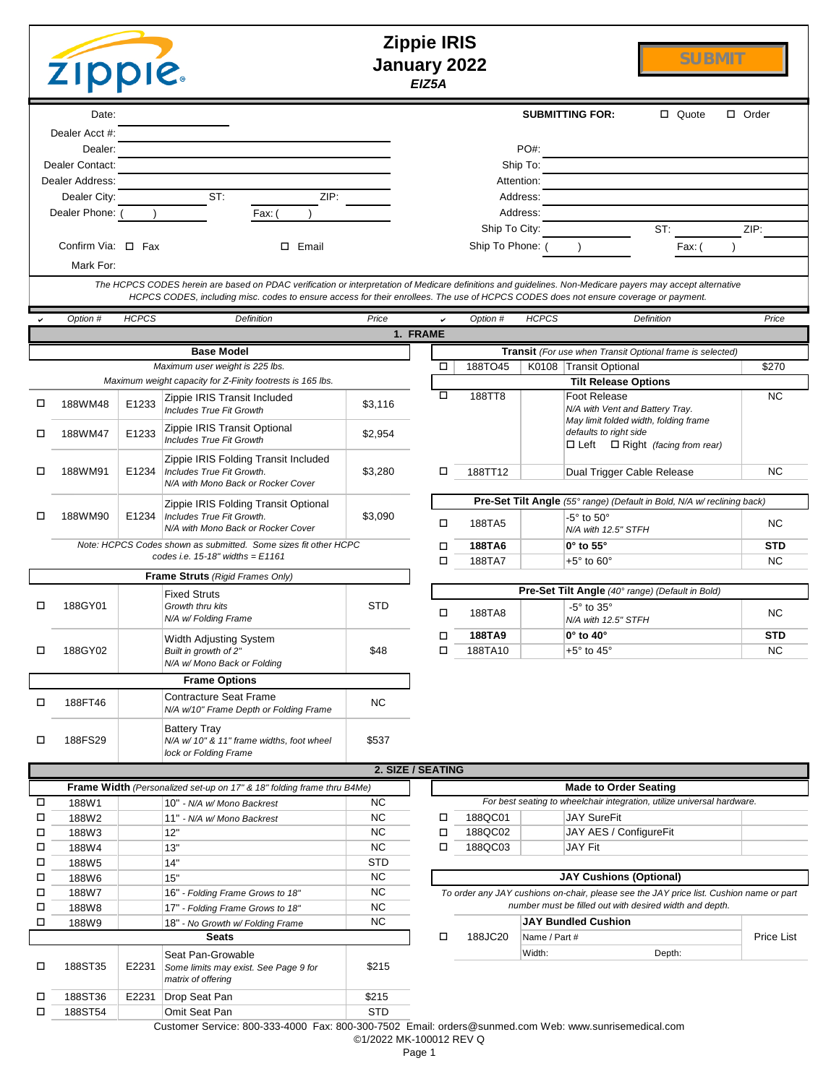|                                                                 | <b>Zippie IRIS</b><br><b>SUBMIT</b><br>January 2022<br><b>Zipple.</b><br>EIZ5A                                                                                                                                                                                                                     |       |                                                                                                |                        |                         |               |                                                                                               |                                             |              |  |
|-----------------------------------------------------------------|----------------------------------------------------------------------------------------------------------------------------------------------------------------------------------------------------------------------------------------------------------------------------------------------------|-------|------------------------------------------------------------------------------------------------|------------------------|-------------------------|---------------|-----------------------------------------------------------------------------------------------|---------------------------------------------|--------------|--|
|                                                                 | Date:                                                                                                                                                                                                                                                                                              |       |                                                                                                |                        |                         |               | <b>SUBMITTING FOR:</b>                                                                        | □ Quote                                     | $\Box$ Order |  |
|                                                                 | Dealer Acct #:                                                                                                                                                                                                                                                                                     |       |                                                                                                |                        |                         |               |                                                                                               |                                             |              |  |
|                                                                 | Dealer:<br>Dealer Contact:                                                                                                                                                                                                                                                                         |       |                                                                                                |                        |                         |               | PO#:<br>Ship To:                                                                              |                                             |              |  |
|                                                                 | Dealer Address:                                                                                                                                                                                                                                                                                    |       |                                                                                                |                        |                         |               | Attention:                                                                                    |                                             |              |  |
|                                                                 | Dealer City:                                                                                                                                                                                                                                                                                       |       | ST:<br>ZIP:                                                                                    |                        |                         |               | Address:                                                                                      |                                             |              |  |
|                                                                 | Dealer Phone:                                                                                                                                                                                                                                                                                      |       | Fax: (                                                                                         |                        |                         |               | Address:                                                                                      |                                             |              |  |
|                                                                 |                                                                                                                                                                                                                                                                                                    |       |                                                                                                |                        |                         | Ship To City: |                                                                                               | ST:                                         | ZIP:         |  |
|                                                                 | Confirm Via: $\Box$ Fax<br>Ship To Phone: (<br>□ Email<br>Fax: (                                                                                                                                                                                                                                   |       |                                                                                                |                        |                         |               |                                                                                               |                                             |              |  |
|                                                                 | Mark For:                                                                                                                                                                                                                                                                                          |       |                                                                                                |                        |                         |               |                                                                                               |                                             |              |  |
|                                                                 | The HCPCS CODES herein are based on PDAC verification or interpretation of Medicare definitions and guidelines. Non-Medicare payers may accept alternative<br>HCPCS CODES, including misc. codes to ensure access for their enrollees. The use of HCPCS CODES does not ensure coverage or payment. |       |                                                                                                |                        |                         |               |                                                                                               |                                             |              |  |
|                                                                 | <b>HCPCS</b><br>Price<br><b>HCPCS</b><br>Option #<br><b>Definition</b><br>Option #<br>Definition<br>Price<br>✓                                                                                                                                                                                     |       |                                                                                                |                        |                         |               |                                                                                               |                                             |              |  |
|                                                                 |                                                                                                                                                                                                                                                                                                    |       |                                                                                                |                        | 1. FRAME                |               |                                                                                               |                                             |              |  |
|                                                                 |                                                                                                                                                                                                                                                                                                    |       | <b>Base Model</b>                                                                              |                        |                         |               | Transit (For use when Transit Optional frame is selected)                                     |                                             |              |  |
|                                                                 |                                                                                                                                                                                                                                                                                                    |       | Maximum user weight is 225 lbs.<br>Maximum weight capacity for Z-Finity footrests is 165 lbs.  |                        |                         | 188TO45       | K0108 Transit Optional                                                                        |                                             | \$270        |  |
|                                                                 |                                                                                                                                                                                                                                                                                                    |       | Zippie IRIS Transit Included                                                                   |                        | □                       | 188TT8        | <b>Tilt Release Options</b><br><b>Foot Release</b>                                            |                                             | <b>NC</b>    |  |
| □                                                               | 188WM48                                                                                                                                                                                                                                                                                            | E1233 | <b>Includes True Fit Growth</b>                                                                | \$3,116                |                         |               |                                                                                               | N/A with Vent and Battery Tray.             |              |  |
| □                                                               | 188WM47                                                                                                                                                                                                                                                                                            | E1233 | Zippie IRIS Transit Optional                                                                   | \$2,954                |                         |               | defaults to right side                                                                        | May limit folded width, folding frame       |              |  |
|                                                                 |                                                                                                                                                                                                                                                                                                    |       | <b>Includes True Fit Growth</b>                                                                |                        |                         |               |                                                                                               | $\Box$ Left $\Box$ Right (facing from rear) |              |  |
| □                                                               | 188WM91                                                                                                                                                                                                                                                                                            | E1234 | Zippie IRIS Folding Transit Included<br>Includes True Fit Growth.                              | \$3,280                | □                       | 188TT12       |                                                                                               | Dual Trigger Cable Release                  | <b>NC</b>    |  |
|                                                                 |                                                                                                                                                                                                                                                                                                    |       | N/A with Mono Back or Rocker Cover                                                             |                        |                         |               |                                                                                               |                                             |              |  |
|                                                                 |                                                                                                                                                                                                                                                                                                    |       | Zippie IRIS Folding Transit Optional                                                           |                        |                         |               | Pre-Set Tilt Angle (55° range) (Default in Bold, N/A w/ reclining back)                       |                                             |              |  |
| □                                                               | 188WM90                                                                                                                                                                                                                                                                                            | E1234 | Includes True Fit Growth.<br>N/A with Mono Back or Rocker Cover                                | \$3,090                | о                       | 188TA5        | -5 $^{\circ}$ to 50 $^{\circ}$<br>N/A with 12.5" STFH                                         |                                             | <b>NC</b>    |  |
| Note: HCPCS Codes shown as submitted. Some sizes fit other HCPC |                                                                                                                                                                                                                                                                                                    |       | □                                                                                              | 188TA6                 | $0^\circ$ to $55^\circ$ |               | <b>STD</b>                                                                                    |                                             |              |  |
|                                                                 |                                                                                                                                                                                                                                                                                                    |       | codes i.e. $15-18$ " widths = $E1161$                                                          |                        | □                       | 188TA7        | $+5^{\circ}$ to $60^{\circ}$                                                                  |                                             | <b>NC</b>    |  |
|                                                                 |                                                                                                                                                                                                                                                                                                    |       | Frame Struts (Rigid Frames Only)                                                               |                        |                         |               | Pre-Set Tilt Angle (40° range) (Default in Bold)                                              |                                             |              |  |
| □                                                               | 188GY01                                                                                                                                                                                                                                                                                            |       | <b>Fixed Struts</b><br>Growth thru kits                                                        | <b>STD</b>             |                         |               | $-5^\circ$ to $35^\circ$                                                                      |                                             |              |  |
|                                                                 |                                                                                                                                                                                                                                                                                                    |       | N/A w/ Folding Frame                                                                           |                        | □                       | 188TA8        | N/A with 12.5" STFH                                                                           |                                             | <b>NC</b>    |  |
|                                                                 |                                                                                                                                                                                                                                                                                                    |       | Width Adjusting System                                                                         |                        | □                       | 188TA9        | $0^\circ$ to $40^\circ$                                                                       |                                             | <b>STD</b>   |  |
| □                                                               | 188GY02                                                                                                                                                                                                                                                                                            |       | Built in growth of 2"<br>N/A w/ Mono Back or Folding                                           | \$48                   | □                       | 188TA10       | +5 $^{\circ}$ to 45 $^{\circ}$                                                                |                                             | <b>NC</b>    |  |
|                                                                 |                                                                                                                                                                                                                                                                                                    |       | <b>Frame Options</b>                                                                           |                        |                         |               |                                                                                               |                                             |              |  |
| □                                                               | 188FT46                                                                                                                                                                                                                                                                                            |       | Contracture Seat Frame                                                                         | <b>NC</b>              |                         |               |                                                                                               |                                             |              |  |
|                                                                 |                                                                                                                                                                                                                                                                                                    |       | N/A w/10" Frame Depth or Folding Frame                                                         |                        |                         |               |                                                                                               |                                             |              |  |
| □                                                               | 188FS29                                                                                                                                                                                                                                                                                            |       | <b>Battery Tray</b><br>N/A w/ 10" & 11" frame widths, foot wheel                               | \$537                  |                         |               |                                                                                               |                                             |              |  |
|                                                                 |                                                                                                                                                                                                                                                                                                    |       | lock or Folding Frame                                                                          |                        |                         |               |                                                                                               |                                             |              |  |
|                                                                 |                                                                                                                                                                                                                                                                                                    |       |                                                                                                |                        | 2. SIZE / SEATING       |               |                                                                                               |                                             |              |  |
|                                                                 |                                                                                                                                                                                                                                                                                                    |       | Frame Width (Personalized set-up on 17" & 18" folding frame thru B4Me)                         |                        |                         |               | <b>Made to Order Seating</b>                                                                  |                                             |              |  |
| □<br>□                                                          | 188W1<br>188W2                                                                                                                                                                                                                                                                                     |       | 10" - N/A w/ Mono Backrest<br>11" - N/A w/ Mono Backrest                                       | <b>NC</b><br>NC        | о                       | 188QC01       | For best seating to wheelchair integration, utilize universal hardware.<br><b>JAY SureFit</b> |                                             |              |  |
| □                                                               | 188W3                                                                                                                                                                                                                                                                                              |       | 12"                                                                                            | NC                     | о                       | 188QC02       | JAY AES / ConfigureFit                                                                        |                                             |              |  |
| □                                                               | 188W4                                                                                                                                                                                                                                                                                              |       | 13"                                                                                            | <b>NC</b>              | □                       | 188QC03       | JAY Fit                                                                                       |                                             |              |  |
| □                                                               | 188W5                                                                                                                                                                                                                                                                                              |       | 14"                                                                                            | <b>STD</b>             |                         |               |                                                                                               |                                             |              |  |
| □                                                               | 188W6                                                                                                                                                                                                                                                                                              |       | 15"                                                                                            | <b>NC</b>              |                         |               | <b>JAY Cushions (Optional)</b>                                                                |                                             |              |  |
| □                                                               | 188W7                                                                                                                                                                                                                                                                                              |       | 16" - Folding Frame Grows to 18"                                                               | NC                     |                         |               | To order any JAY cushions on-chair, please see the JAY price list. Cushion name or part       |                                             |              |  |
| □<br>□                                                          | 188W8                                                                                                                                                                                                                                                                                              |       | 17" - Folding Frame Grows to 18"                                                               | <b>NC</b><br><b>NC</b> |                         |               | number must be filled out with desired width and depth.<br><b>JAY Bundled Cushion</b>         |                                             |              |  |
|                                                                 | 188W9                                                                                                                                                                                                                                                                                              |       | 18" - No Growth w/ Folding Frame<br><b>Seats</b>                                               |                        | □                       | 188JC20       | Name / Part #                                                                                 |                                             | Price List   |  |
| □                                                               | 188ST35                                                                                                                                                                                                                                                                                            | E2231 | Seat Pan-Growable<br>Some limits may exist. See Page 9 for<br>matrix of offering               | \$215                  |                         |               | Width:                                                                                        | Depth:                                      |              |  |
| ◻                                                               | 188ST36                                                                                                                                                                                                                                                                                            | E2231 | Drop Seat Pan                                                                                  | \$215                  |                         |               |                                                                                               |                                             |              |  |
| □                                                               | 188ST54                                                                                                                                                                                                                                                                                            |       | Omit Seat Pan                                                                                  | <b>STD</b>             |                         |               |                                                                                               |                                             |              |  |
|                                                                 |                                                                                                                                                                                                                                                                                                    |       | Customer Benyies: 800,222,4000, Fey: 800,200,7502, Fmail: erdere@eupmed.com Web: www.euprisemi |                        |                         |               |                                                                                               |                                             |              |  |

Customer Service: 800-333-4000 Fax: 800-300-7502 Email: orders@sunmed.com Web: www.sunrisemedical.com

©1/2022 MK-100012 REV Q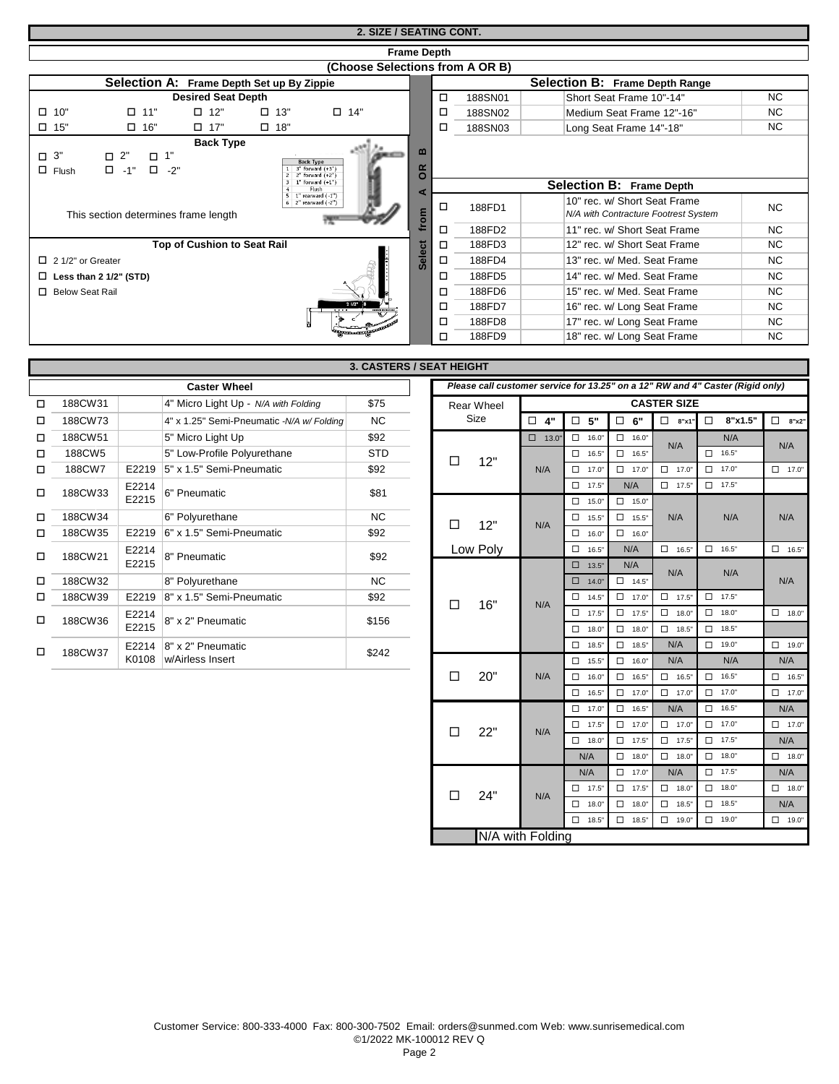# **2. SIZE / SEATING CONT.**

|                              | <b>Frame Depth</b>                                                                                                                                                 |                             |               |                                 |                            |                                       |         |                                                                      |           |  |
|------------------------------|--------------------------------------------------------------------------------------------------------------------------------------------------------------------|-----------------------------|---------------|---------------------------------|----------------------------|---------------------------------------|---------|----------------------------------------------------------------------|-----------|--|
|                              |                                                                                                                                                                    |                             |               | (Choose Selections from A OR B) |                            |                                       |         |                                                                      |           |  |
|                              | Selection A: Frame Depth Set up By Zippie                                                                                                                          |                             |               |                                 |                            | <b>Selection B: Frame Depth Range</b> |         |                                                                      |           |  |
|                              |                                                                                                                                                                    | <b>Desired Seat Depth</b>   |               |                                 |                            | $\Box$                                | 188SN01 | Short Seat Frame 10"-14"                                             | <b>NC</b> |  |
| $\Box$ 10"                   | $\Box$<br>11"                                                                                                                                                      | $\Box$ 12"                  | $\Box$ 13"    | $\square$ 14"                   |                            | □                                     | 188SN02 | Medium Seat Frame 12"-16"                                            | <b>NC</b> |  |
| $\square$ 15"                | $\square$ 16"                                                                                                                                                      | $\Box$ 17"                  | $\square$ 18" |                                 |                            | □                                     | 188SN03 | Long Seat Frame 14"-18"                                              | <b>NC</b> |  |
| $\Box$ 3"<br>$\Box$<br>Flush | <b>Back Type</b><br>$\mathbf{m}$<br>$\square$ 2"<br>$\Box$ 1"<br><b>Back Type</b><br>$\square$ -2"<br>3" forward (+3")<br>≃<br>$\Box$ -1"<br>O<br>2" forward (+2") |                             |               |                                 |                            |                                       |         |                                                                      |           |  |
|                              |                                                                                                                                                                    |                             |               | $1"$ forward $(+1")$<br>Flush   |                            |                                       |         | <b>Selection B: Frame Depth</b>                                      |           |  |
|                              | 1" rearward (-1")<br>$6$ $2$ " rearward $(-2)$ ")<br>This section determines frame length                                                                          |                             |               |                                 | from                       | □                                     | 188FD1  | 10" rec. w/ Short Seat Frame<br>N/A with Contracture Footrest System | <b>NC</b> |  |
|                              |                                                                                                                                                                    |                             |               |                                 |                            | □                                     | 188FD2  | 11" rec. w/ Short Seat Frame                                         | <b>NC</b> |  |
|                              |                                                                                                                                                                    | Top of Cushion to Seat Rail |               |                                 | ت<br>$\mathbf{\omega}$     | □                                     | 188FD3  | 12" rec. w/ Short Seat Frame                                         | NC.       |  |
| $\Box$ 2 1/2" or Greater     |                                                                                                                                                                    |                             |               |                                 | ᄒ<br>$\boldsymbol{\omega}$ | □                                     | 188FD4  | 13" rec. w/ Med. Seat Frame                                          | <b>NC</b> |  |
|                              | $\Box$ Less than 2 1/2" (STD)                                                                                                                                      |                             |               |                                 |                            | □                                     | 188FD5  | 14" rec. w/ Med. Seat Frame                                          | <b>NC</b> |  |
| п                            | <b>Below Seat Rail</b>                                                                                                                                             |                             |               |                                 |                            | □                                     | 188FD6  | 15" rec. w/ Med. Seat Frame                                          | <b>NC</b> |  |
|                              |                                                                                                                                                                    |                             |               |                                 |                            | □                                     | 188FD7  | 16" rec. w/ Long Seat Frame                                          | <b>NC</b> |  |
|                              |                                                                                                                                                                    |                             |               |                                 |                            | □                                     | 188FD8  | 17" rec. w/ Long Seat Frame                                          | <b>NC</b> |  |
|                              |                                                                                                                                                                    |                             |               |                                 |                            | □                                     | 188FD9  | 18" rec. w/ Long Seat Frame                                          | <b>NC</b> |  |

|        |         |       |                                           | <b>3. CASTERS / SEAT HEIGHT</b> |                                                               |              |                 |                 |                    |   |
|--------|---------|-------|-------------------------------------------|---------------------------------|---------------------------------------------------------------|--------------|-----------------|-----------------|--------------------|---|
|        |         |       | <b>Caster Wheel</b>                       |                                 | Please call customer service for 13.25" on a 12" RW and 4" Ca |              |                 |                 |                    |   |
| $\Box$ | 188CW31 |       | 4" Micro Light Up - N/A with Folding      | \$75                            | <b>Rear Wheel</b>                                             |              |                 |                 | <b>CASTER SIZE</b> |   |
| $\Box$ | 188CW73 |       | 4" x 1.25" Semi-Pneumatic -N/A w/ Folding | <b>NC</b>                       | Size                                                          | $\Box$<br>4" | 5"<br>□         | 6"<br>□         | $\Box$<br>8"x1"    |   |
| $\Box$ | 188CW51 |       | 5" Micro Light Up                         | \$92                            |                                                               | $\Box$ 13.0" | $\Box$<br>16.0" | $\Box$ 16.0"    | N/A                |   |
| $\Box$ | 188CW5  |       | 5" Low-Profile Polyurethane               | <b>STD</b>                      | 12"<br>□                                                      |              | $\Box$<br>16.5" | $\Box$ 16.5"    |                    | □ |
| □      | 188CW7  | E2219 | 5" x 1.5" Semi-Pneumatic                  | \$92                            |                                                               | N/A          | □<br>17.0"      | $\Box$ 17.0"    | $\Box$<br>17.0"    | □ |
| $\Box$ | 188CW33 | E2214 | 6" Pneumatic                              | \$81                            |                                                               |              | $\Box$<br>17.5" | N/A             | $\Box$ 17.5"       | □ |
|        |         | E2215 |                                           |                                 |                                                               |              | $\Box$<br>15.0" | $\Box$ 15.0"    |                    |   |
| □      | 188CW34 |       | 6" Polyurethane                           | NC.                             | 12"<br>□                                                      | N/A          | $\Box$<br>15.5" | $\Box$ 15.5"    | N/A                |   |
| □      | 188CW35 | E2219 | 6" x 1.5" Semi-Pneumatic                  | \$92                            |                                                               |              | □<br>16.0"      | $\Box$ 16.0"    |                    |   |
| $\Box$ | 188CW21 | E2214 | 8" Pneumatic                              | \$92                            | Low Poly                                                      |              | $\Box$<br>16.5" | N/A             | $\Box$<br>16.5"    | □ |
|        |         | E2215 |                                           |                                 |                                                               |              | $\Box$<br>13.5" | N/A             | N/A                |   |
| □      | 188CW32 |       | 8" Polyurethane                           | NC                              |                                                               |              | □<br>14.0"      | $\Box$ 14.5"    |                    |   |
| □      | 188CW39 | E2219 | 8" x 1.5" Semi-Pneumatic                  | \$92                            | 16"<br>П                                                      | N/A          | $\Box$<br>14.5" | $\Box$ 17.0"    | $\Box$<br>17.5"    | □ |
| $\Box$ | 188CW36 | E2214 | 8" x 2" Pneumatic                         | \$156                           |                                                               |              | $\Box$<br>17.5" | $\Box$ 17.5"    | $\Box$<br>18.0"    | □ |
|        |         | E2215 |                                           |                                 |                                                               |              | □<br>18.0"      | $\Box$ 18.0"    | $\Box$<br>18.5"    | □ |
| □      | 188CW37 | E2214 | 8" x 2" Pneumatic                         | \$242                           |                                                               |              | $\Box$<br>18.5" | $\Box$<br>18.5" | N/A                | □ |
|        |         | K0108 | w/Airless Insert                          |                                 |                                                               |              | $\Box$<br>15.5" | □<br>16.0"      | N/A                |   |

|   | 3. CASTERS / SEAT HEIGHT |                |                                           |            |        |                 |                  |                              |                     |      |                    |                                                                                |              |
|---|--------------------------|----------------|-------------------------------------------|------------|--------|-----------------|------------------|------------------------------|---------------------|------|--------------------|--------------------------------------------------------------------------------|--------------|
|   |                          |                | <b>Caster Wheel</b>                       |            |        |                 |                  |                              |                     |      |                    | Please call customer service for 13.25" on a 12" RW and 4" Caster (Rigid only) |              |
| П | 188CW31                  |                | 4" Micro Light Up - N/A with Folding      | \$75       |        | Rear Wheel      |                  |                              |                     |      | <b>CASTER SIZE</b> |                                                                                |              |
| □ | 188CW73                  |                | 4" x 1.25" Semi-Pneumatic -N/A w/ Folding | <b>NC</b>  |        | Size            | $\Box$ 4"        | $\Box$ 5"                    | $\Box$ 6"           |      | $\Box$ 8"x1"       | $\Box$<br>8"x1.5"                                                              | $\Box$ 8"x2" |
| □ | 188CW51                  |                | 5" Micro Light Up                         | \$92       |        |                 | $\Box$ 13.0"     | $\Box$ 16.0"                 | $\Box$ 16.0"        |      |                    | N/A                                                                            |              |
| □ | 188CW5                   |                | 5" Low-Profile Polyurethane               | <b>STD</b> |        |                 |                  | $\Box$ 16.5"                 | $\Box$ 16.5"        |      | N/A                | $\Box$ 16.5"                                                                   | N/A          |
| □ | 188CW7                   | E2219          | 5" x 1.5" Semi-Pneumatic                  | \$92       | $\Box$ | 12"             | N/A              | $\Box$ 17.0"                 | $\Box$ 17.0         |      | $\Box$ 17.0"       | $\Box$ 17.0"                                                                   | $\Box$ 17.0" |
| □ | 188CW33                  | E2214<br>E2215 | 6" Pneumatic                              | \$81       |        |                 |                  | $\Box$ 17.5"<br>$\Box$ 15.0" | N/A<br>$\Box$ 15.0" |      | $\Box$ 17.5"       | $\Box$ 17.5"                                                                   |              |
| □ | 188CW34                  |                | 6" Polyurethane                           | <b>NC</b>  |        | 12"<br>□<br>N/A |                  | $\Box$ 15.5"                 | $\Box$ 15.5"        |      | N/A                | N/A                                                                            | N/A          |
| □ | 188CW35                  | E2219          | 6" x 1.5" Semi-Pneumatic                  | \$92       |        |                 |                  | $\Box$ 16.0"                 | $\Box$ 16.0"        |      |                    |                                                                                |              |
|   |                          | E2214          |                                           |            |        | Low Poly        |                  | $\Box$ 16.5"                 | N/A                 |      | $\Box$ 16.5"       | $\Box$ 16.5"                                                                   | $\Box$ 16.5" |
| П | 188CW21                  | E2215          | 8" Pneumatic                              | \$92       |        |                 |                  | $\Box$ 13.5"                 | N/A                 |      |                    |                                                                                |              |
| □ | 188CW32                  |                | 8" Polyurethane                           | <b>NC</b>  |        |                 |                  | $\Box$ 14.0"                 | $\Box$ 14.5"        |      | N/A                | N/A                                                                            | N/A          |
| □ | 188CW39                  |                | E2219 $ 8" \times 1.5"$ Semi-Pneumatic    | \$92       |        |                 |                  | $\Box$ 14.5"                 | $\Box$ 17.0         |      | $\Box$ 17.5"       | $\Box$ 17.5"                                                                   |              |
| П |                          | E2214          | 8" x 2" Pneumatic                         | \$156      | $\Box$ | 16"             | N/A              | $\Box$ 17.5"                 | $\Box$ 17.5         |      | $\Box$ 18.0"       | $\Box$ 18.0"                                                                   | $\Box$ 18.0" |
|   | 188CW36                  | E2215          |                                           |            |        |                 |                  | $\Box$ 18.0"                 | $\Box$              | 18.0 | $\Box$ 18.5"       | $\Box$ 18.5"                                                                   |              |
| □ | 188CW37                  |                | E2214 $ 8" \times 2"$ Pneumatic           | \$242      |        |                 |                  | $\Box$ 18.5"                 | $\Box$ 18.5         |      | N/A                | $\Box$ 19.0"                                                                   | $\Box$ 19.0" |
|   |                          | K0108          | w/Airless Insert                          |            |        |                 |                  | $\Box$ 15.5"                 | $\Box$              | 16.0 | N/A                | N/A                                                                            | N/A          |
|   |                          |                |                                           |            | $\Box$ | 20"             | N/A              | $\Box$ 16.0"                 | $\Box$ 16.5'        |      | $\Box$ 16.5"       | $\Box$ 16.5"                                                                   | $\Box$ 16.5" |
|   |                          |                |                                           |            |        |                 |                  | $\Box$ 16.5"                 | $\Box$ 17.0         |      | $\Box$ 17.0"       | $\Box$ 17.0"                                                                   | $\Box$ 17.0" |
|   |                          |                |                                           |            |        |                 |                  | $\Box$ 17.0"                 | $\Box$ 16.5"        |      | N/A                | $\Box$ 16.5"                                                                   | N/A          |
|   |                          |                |                                           |            | $\Box$ | 22"             | N/A              | $\Box$ 17.5"                 | $\Box$ 17.0         |      | $\Box$ 17.0        | $\Box$ 17.0"                                                                   | $\Box$ 17.0" |
|   |                          |                |                                           |            |        |                 |                  | $\Box$ 18.0"                 | $\Box$ 17.5         |      | $\Box$ 17.5"       | $\Box$ 17.5"                                                                   | N/A          |
|   |                          |                |                                           |            |        |                 |                  | N/A                          | $\Box$ 18.0         |      | $\Box$ 18.0"       | $\Box$ 18.0"                                                                   | $\Box$ 18.0" |
|   |                          |                |                                           |            |        |                 |                  | N/A                          | $\Box$ 17.0"        |      | N/A                | $\Box$ 17.5"                                                                   | N/A          |
|   |                          |                |                                           |            |        | 24"             | N/A              | $\Box$ 17.5"                 | $\Box$ 17.5         |      | $\Box$ 18.0        | $\Box$ 18.0"                                                                   | $\Box$ 18.0" |
|   |                          |                |                                           |            | $\Box$ |                 |                  | $\Box$ 18.0"                 | $\Box$ 18.0         |      | $\Box$ 18.5"       | $\Box$ 18.5"                                                                   | N/A          |
|   |                          |                |                                           |            |        |                 |                  | $\Box$ 18.5"                 | $\Box$ 18.5"        |      | $\Box$ 19.0"       | $\Box$ 19.0"                                                                   | $\Box$ 19.0" |
|   |                          |                |                                           |            |        |                 | N/A with Folding |                              |                     |      |                    |                                                                                |              |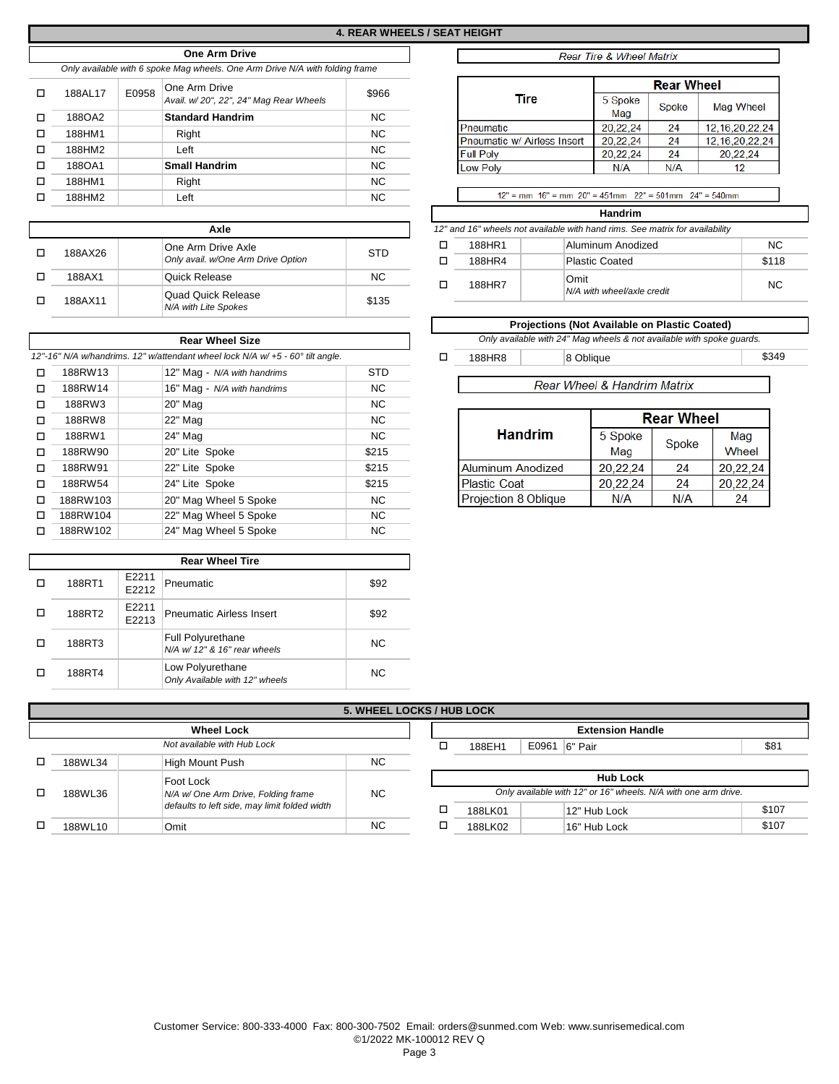### **One Arm Drive** *Only available with 6 spoke Mag wheels. One Arm Drive N/A with folding frame*

| п | 188AL17 | E0958 | One Arm Drive<br>Avail. w/20", 22", 24" Mag Rear Wheels | \$966     |
|---|---------|-------|---------------------------------------------------------|-----------|
|   | 188OA2  |       | <b>Standard Handrim</b>                                 | <b>NC</b> |
|   | 188HM1  |       | Right                                                   | <b>NC</b> |
|   | 188HM2  |       | Left                                                    | <b>NC</b> |
|   | 188OA1  |       | <b>Small Handrim</b>                                    | <b>NC</b> |
| п | 188HM1  |       | Right                                                   | <b>NC</b> |
|   | 188HM2  |       | Left                                                    | <b>NC</b> |
|   |         |       |                                                         |           |

| Axle    |                                                          |           |  |  |  |  |  |  |
|---------|----------------------------------------------------------|-----------|--|--|--|--|--|--|
| 188AX26 | One Arm Drive Axle<br>Only avail. w/One Arm Drive Option | STD       |  |  |  |  |  |  |
| 188AX1  | Quick Release                                            | <b>NC</b> |  |  |  |  |  |  |
| 188AX11 | Quad Quick Release<br>N/A with Lite Spokes               | \$135     |  |  |  |  |  |  |

|        |          | <b>Rear Wheel Size</b>                                                         |            |  |                             | Only available with 24" Mag wheels & not available with spoke quards. |                             |       |          |
|--------|----------|--------------------------------------------------------------------------------|------------|--|-----------------------------|-----------------------------------------------------------------------|-----------------------------|-------|----------|
|        |          | 12"-16" N/A w/handrims. 12" w/attendant wheel lock N/A w/ +5 - 60° tilt angle. |            |  | 188HR8                      |                                                                       | 8 Oblique                   |       | \$349    |
| □      | 188RW13  | 12" Mag - N/A with handrims                                                    | <b>STD</b> |  |                             |                                                                       |                             |       |          |
| □      | 188RW14  | 16" Mag - N/A with handrims                                                    | NC.        |  |                             |                                                                       | Rear Wheel & Handrim Matrix |       |          |
| $\Box$ | 188RW3   | 20" Mag                                                                        | NC.        |  |                             |                                                                       |                             |       |          |
| □      | 188RW8   | 22" Mag                                                                        | NC.        |  | <b>Handrim</b>              |                                                                       | <b>Rear Wheel</b>           |       |          |
| $\Box$ | 188RW1   | 24" Mag                                                                        | NC.        |  |                             |                                                                       | 5 Spoke                     | Spoke | Mag      |
| $\Box$ | 188RW90  | 20" Lite Spoke                                                                 | \$215      |  |                             |                                                                       | Mag                         |       | Wheel    |
| □      | 188RW91  | 22" Lite Spoke                                                                 | \$215      |  | <b>Aluminum Anodized</b>    |                                                                       | 20.22.24                    | 24    | 20,22,24 |
| $\Box$ | 188RW54  | 24" Lite Spoke                                                                 | \$215      |  | <b>Plastic Coat</b>         |                                                                       | 20,22,24                    | 24    | 20,22,24 |
| □      | 188RW103 | 20" Mag Wheel 5 Spoke                                                          | NC.        |  | <b>Projection 8 Oblique</b> |                                                                       | N/A                         | N/A   | 24       |
| п      | 188RW104 | 22" Mag Wheel 5 Spoke                                                          | NC.        |  |                             |                                                                       |                             |       |          |
| □      | 188RW102 | 24" Mag Wheel 5 Spoke                                                          | NC.        |  |                             |                                                                       |                             |       |          |

|        |                | <b>Rear Wheel Tire</b>                                     |           |
|--------|----------------|------------------------------------------------------------|-----------|
| 188RT1 | E2211<br>E2212 | Pneumatic                                                  | \$92      |
| 188RT2 | E2211<br>E2213 | <b>Pneumatic Airless Insert</b>                            | \$92      |
| 188RT3 |                | <b>Full Polyurethane</b><br>$N/A$ w/ 12" & 16" rear wheels | <b>NC</b> |
| 188RT4 |                | Low Polyurethane<br>Only Available with 12" wheels         | <b>NC</b> |

## Rear Tire & Wheel Matrix

|                             | <b>Rear Wheel</b> |       |                    |  |  |  |  |
|-----------------------------|-------------------|-------|--------------------|--|--|--|--|
| Tire                        | 5 Spoke<br>Mag    | Spoke | Mag Wheel          |  |  |  |  |
| Pneumatic                   | 20,22,24          | 24    | 12, 16, 20, 22, 24 |  |  |  |  |
| Pneumatic w/ Airless Insert | 20.22.24          | 24    | 12, 16, 20, 22, 24 |  |  |  |  |
| <b>Full Poly</b>            | 20.22.24          | 24    | 20.22.24           |  |  |  |  |
| <b>Low Poly</b>             | N/A               | N/A   | 12                 |  |  |  |  |

 $12"$  = mm  $16"$  = mm  $20"$  = 451mm  $22"$  = 501mm  $24"$  = 540mm

### **Handrim**

**Axle** *12" and 16" wheels not available with hand rims. See matrix for availability*

| п | 188HR1 | Aluminum Anodized                  | NC.   |
|---|--------|------------------------------------|-------|
| п | 188HR4 | Plastic Coated                     | \$118 |
| п | 188HR7 | Omit<br>N/A with wheel/axle credit | NC.   |

|                                             |        | <b>Projections (Not Available on Plastic Coated)</b>                  |       |
|---------------------------------------------|--------|-----------------------------------------------------------------------|-------|
| Rear Wheel Size                             |        | Only available with 24" Mag wheels & not available with spoke quards. |       |
| dant wheel lock N/A w/ +5 - 60° tilt angle. | 188HR8 | 8 Oblique                                                             | \$349 |

# Rear Wheel & Handrim Matrix

|                          | <b>Rear Wheel</b> |       |          |  |  |  |  |
|--------------------------|-------------------|-------|----------|--|--|--|--|
| <b>Handrim</b>           | 5 Spoke           | Spoke | Mag      |  |  |  |  |
|                          | Mag               |       | Wheel    |  |  |  |  |
| <b>Aluminum Anodized</b> | 20,22,24          | 24    | 20,22,24 |  |  |  |  |
| <b>Plastic Coat</b>      | 20.22.24          | 24    | 20,22,24 |  |  |  |  |
| Projection 8 Oblique     | N/A               | N/A   | 24       |  |  |  |  |

|   |                                         |                                               | <b>5. WHEEL LOCKS / HUB LOCK</b> |  |         |                                                                |       |
|---|-----------------------------------------|-----------------------------------------------|----------------------------------|--|---------|----------------------------------------------------------------|-------|
|   |                                         | <b>Wheel Lock</b>                             |                                  |  |         | <b>Extension Handle</b>                                        |       |
|   |                                         | Not available with Hub Lock                   |                                  |  | 188EH1  | E0961   6" Pair                                                | \$81  |
| □ | <b>NC</b><br>188WL34<br>High Mount Push |                                               |                                  |  |         |                                                                |       |
|   | Foot Lock                               |                                               |                                  |  |         |                                                                |       |
|   |                                         |                                               |                                  |  |         | <b>Hub Lock</b>                                                |       |
| □ | 188WL36                                 | N/A w/ One Arm Drive, Folding frame           | <b>NC</b>                        |  |         | Only available with 12" or 16" wheels. N/A with one arm drive. |       |
|   |                                         | defaults to left side, may limit folded width |                                  |  | 188LK01 | 12" Hub Lock                                                   | \$107 |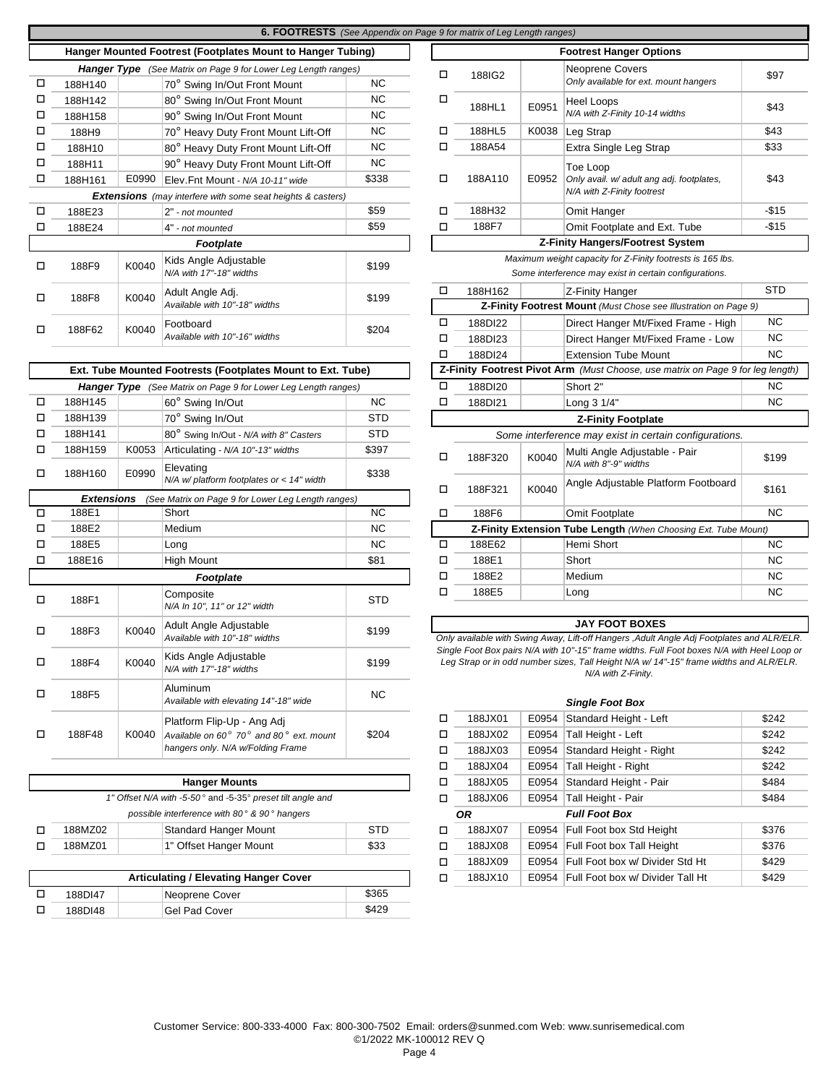|        |                                                                       |       | <b>6. FOOTRESTS</b> (See Appendix on Page 9 for matrix of Leg Length ranges) |                        |   |         |       |                                                                                                                                                                                                            |            |
|--------|-----------------------------------------------------------------------|-------|------------------------------------------------------------------------------|------------------------|---|---------|-------|------------------------------------------------------------------------------------------------------------------------------------------------------------------------------------------------------------|------------|
|        |                                                                       |       | Hanger Mounted Footrest (Footplates Mount to Hanger Tubing)                  |                        |   |         |       | <b>Footrest Hanger Options</b>                                                                                                                                                                             |            |
|        |                                                                       |       | <b>Hanger Type</b> (See Matrix on Page 9 for Lower Leg Length ranges)        |                        |   |         |       | <b>Neoprene Covers</b>                                                                                                                                                                                     |            |
| □      | 188H140                                                               |       | 70° Swing In/Out Front Mount                                                 | <b>NC</b>              | □ | 188IG2  |       | Only available for ext. mount hangers                                                                                                                                                                      | \$97       |
| □<br>□ | 188H142<br>188H158                                                    |       | 80° Swing In/Out Front Mount<br>90° Swing In/Out Front Mount                 | <b>NC</b><br><b>NC</b> | □ | 188HL1  | E0951 | <b>Heel Loops</b><br>N/A with Z-Finity 10-14 widths                                                                                                                                                        | \$43       |
| □      | 188H9                                                                 |       | 70° Heavy Duty Front Mount Lift-Off                                          | <b>NC</b>              | □ | 188HL5  | K0038 | Leg Strap                                                                                                                                                                                                  | \$43       |
| □      | 188H10                                                                |       | 80° Heavy Duty Front Mount Lift-Off                                          | <b>NC</b>              | □ | 188A54  |       | Extra Single Leg Strap                                                                                                                                                                                     | \$33       |
| □      | 188H11                                                                |       | 90° Heavy Duty Front Mount Lift-Off                                          | <b>NC</b>              |   |         |       |                                                                                                                                                                                                            |            |
| □      | 188H161                                                               | E0990 | Elev.Fnt Mount - N/A 10-11" wide                                             | \$338                  | □ | 188A110 | E0952 | Toe Loop<br>Only avail. w/ adult ang adj. footplates,                                                                                                                                                      | \$43       |
|        |                                                                       |       | <b>Extensions</b> (may interfere with some seat heights & casters)           |                        |   |         |       | N/A with Z-Finity footrest                                                                                                                                                                                 |            |
| □      | 188E23                                                                |       | 2" - not mounted                                                             | \$59                   | □ | 188H32  |       | Omit Hanger                                                                                                                                                                                                | $-$15$     |
| □      | 188E24                                                                |       | 4" - not mounted                                                             | \$59                   | □ | 188F7   |       | Omit Footplate and Ext. Tube                                                                                                                                                                               | $-$15$     |
|        |                                                                       |       | Footplate                                                                    |                        |   |         |       | <b>Z-Finity Hangers/Footrest System</b>                                                                                                                                                                    |            |
| □      | 188F9                                                                 | K0040 | Kids Angle Adjustable<br>N/A with 17"-18" widths                             | \$199                  |   |         |       | Maximum weight capacity for Z-Finity footrests is 165 lbs.<br>Some interference may exist in certain configurations.                                                                                       |            |
|        |                                                                       |       | Adult Angle Adj.                                                             |                        | □ | 188H162 |       | Z-Finity Hanger                                                                                                                                                                                            | <b>STD</b> |
| □      | 188F8                                                                 | K0040 | Available with 10"-18" widths                                                | \$199                  |   |         |       | Z-Finity Footrest Mount (Must Chose see Illustration on Page 9)                                                                                                                                            |            |
|        |                                                                       |       | Footboard                                                                    |                        | □ | 188DI22 |       | Direct Hanger Mt/Fixed Frame - High                                                                                                                                                                        | <b>NC</b>  |
| □      | 188F62                                                                | K0040 | Available with 10"-16" widths                                                | \$204                  | □ | 188DI23 |       | Direct Hanger Mt/Fixed Frame - Low                                                                                                                                                                         | <b>NC</b>  |
|        |                                                                       |       |                                                                              |                        | □ | 188DI24 |       | <b>Extension Tube Mount</b>                                                                                                                                                                                | <b>NC</b>  |
|        |                                                                       |       | Ext. Tube Mounted Footrests (Footplates Mount to Ext. Tube)                  |                        |   |         |       | Z-Finity Footrest Pivot Arm (Must Choose, use matrix on Page 9 for leg length)                                                                                                                             |            |
|        | <b>Hanger Type</b> (See Matrix on Page 9 for Lower Leg Length ranges) |       |                                                                              |                        | □ | 188DI20 |       | Short 2"                                                                                                                                                                                                   | <b>NC</b>  |
| □      | 188H145                                                               |       | 60° Swing In/Out                                                             | <b>NC</b>              | □ | 188DI21 |       | Long 3 1/4"                                                                                                                                                                                                | <b>NC</b>  |
| □      | 188H139                                                               |       | 70° Swing In/Out                                                             | <b>STD</b>             |   |         |       | <b>Z-Finity Footplate</b>                                                                                                                                                                                  |            |
| □      | 188H141                                                               |       | 80° Swing In/Out - N/A with 8" Casters                                       | <b>STD</b>             |   |         |       | Some interference may exist in certain configurations.                                                                                                                                                     |            |
| □      | 188H159                                                               | K0053 | Articulating - N/A 10"-13" widths                                            | \$397                  | □ | 188F320 | K0040 | Multi Angle Adjustable - Pair                                                                                                                                                                              | \$199      |
| □      | 188H160                                                               | E0990 | Elevating<br>$N/A$ w/ platform footplates or < 14" width                     | \$338                  |   |         |       | N/A with 8"-9" widths<br>Angle Adjustable Platform Footboard                                                                                                                                               |            |
|        | Extensions                                                            |       | (See Matrix on Page 9 for Lower Leg Length ranges)                           |                        | □ | 188F321 | K0040 |                                                                                                                                                                                                            | \$161      |
| □      | 188E1                                                                 |       | Short                                                                        | <b>NC</b>              | □ | 188F6   |       | Omit Footplate                                                                                                                                                                                             | <b>NC</b>  |
| □      | 188E2                                                                 |       | Medium                                                                       | <b>NC</b>              |   |         |       | Z-Finity Extension Tube Length (When Choosing Ext. Tube Mount)                                                                                                                                             |            |
| □      | 188E5                                                                 |       | Long                                                                         | <b>NC</b>              | о | 188E62  |       | Hemi Short                                                                                                                                                                                                 | <b>NC</b>  |
| □      | 188E16                                                                |       | <b>High Mount</b>                                                            | \$81                   | П | 188E1   |       | Short                                                                                                                                                                                                      | <b>NC</b>  |
|        |                                                                       |       | Footplate                                                                    |                        | П | 188E2   |       | Medium                                                                                                                                                                                                     | <b>NC</b>  |
|        |                                                                       |       | Composite                                                                    |                        | □ | 188E5   |       | Long                                                                                                                                                                                                       | <b>NC</b>  |
| □      | 188F1                                                                 |       | N/A In 10", 11" or 12" width                                                 | <b>STD</b>             |   |         |       |                                                                                                                                                                                                            |            |
| □      | 188F3                                                                 | K0040 | Adult Angle Adjustable<br>Available with 10"-18" widths                      | \$199                  |   |         |       | <b>JAY FOOT BOXES</b><br>Only available with Swing Away, Lift-off Hangers , Adult Angle Adj Footplates and ALR/ELR.                                                                                        |            |
| □      | 188F4                                                                 | K0040 | Kids Angle Adjustable<br>N/A with 17"-18" widths                             | \$199                  |   |         |       | Single Foot Box pairs N/A with 10"-15" frame widths. Full Foot boxes N/A with Heel Loop or<br>Leg Strap or in odd number sizes, Tall Height N/A w/ 14"-15" frame widths and ALR/ELR.<br>N/A with Z-Finity. |            |
| □      | 188F5                                                                 |       | Aluminum<br>Available with elevating 14"-18" wide                            | NC                     |   |         |       | <b>Single Foot Box</b>                                                                                                                                                                                     |            |
|        |                                                                       |       | Platform Flip-Up - Ang Adj                                                   |                        | □ | 188JX01 | E0954 | Standard Height - Left                                                                                                                                                                                     | \$242      |
| □      | 188F48                                                                | K0040 | Available on 60° 70° and 80° ext. mount                                      | \$204                  | □ | 188JX02 | E0954 | Tall Height - Left                                                                                                                                                                                         | \$242      |
|        |                                                                       |       | hangers only. N/A w/Folding Frame                                            |                        | □ | 188JX03 | E0954 | Standard Height - Right                                                                                                                                                                                    | \$242      |
|        |                                                                       |       |                                                                              |                        | Д | 188JX04 | E0954 | Tall Height - Right                                                                                                                                                                                        | \$242      |
|        |                                                                       |       | <b>Hanger Mounts</b>                                                         |                        | Д | 188JX05 | E0954 | Standard Height - Pair                                                                                                                                                                                     | \$484      |
|        |                                                                       |       | 1" Offset N/A with -5-50° and -5-35° preset tilt angle and                   |                        | □ | 188JX06 | E0954 | Tall Height - Pair                                                                                                                                                                                         | \$484      |
|        |                                                                       |       | possible interference with 80° & 90° hangers                                 |                        |   | OR      |       | <b>Full Foot Box</b>                                                                                                                                                                                       |            |
| □      | 188MZ02                                                               |       | Standard Hanger Mount                                                        | <b>STD</b>             | □ | 188JX07 | E0954 | <b>Full Foot box Std Height</b>                                                                                                                                                                            | \$376      |
| □      | 188MZ01                                                               |       | 1" Offset Hanger Mount                                                       | \$33                   | П | 188JX08 |       | E0954 Full Foot box Tall Height                                                                                                                                                                            | \$376      |
|        |                                                                       |       |                                                                              |                        | □ | 188JX09 | E0954 | Full Foot box w/ Divider Std Ht                                                                                                                                                                            | \$429      |
|        |                                                                       |       |                                                                              |                        |   |         |       |                                                                                                                                                                                                            | 0.400      |

| Articulating / Elevating Hanger Cover |                |       |  |  |  |  |  |  |  |  |
|---------------------------------------|----------------|-------|--|--|--|--|--|--|--|--|
| 188DI47                               | Neoprene Cover | \$365 |  |  |  |  |  |  |  |  |
| 188DI48                               | Gel Pad Cover  | \$429 |  |  |  |  |  |  |  |  |

|                                                                             |                         | 6. FOOTRESTS (See Appendix on Page 9 for matrix of Leg Length ranges) |            |   |         |       |                                                                                                                      |            |
|-----------------------------------------------------------------------------|-------------------------|-----------------------------------------------------------------------|------------|---|---------|-------|----------------------------------------------------------------------------------------------------------------------|------------|
|                                                                             |                         | Hanger Mounted Footrest (Footplates Mount to Hanger Tubing)           |            |   |         |       | <b>Footrest Hanger Options</b>                                                                                       |            |
|                                                                             |                         | <b>Hanger Type</b> (See Matrix on Page 9 for Lower Leg Length ranges) |            | □ | 188IG2  |       | <b>Neoprene Covers</b>                                                                                               | \$97       |
| 188H140                                                                     |                         | 70° Swing In/Out Front Mount                                          | <b>NC</b>  |   |         |       | Only available for ext. mount hangers                                                                                |            |
| 188H142                                                                     |                         | 80° Swing In/Out Front Mount                                          | <b>NC</b>  | □ | 188HL1  | E0951 | <b>Heel Loops</b>                                                                                                    | \$43       |
| 188H158                                                                     |                         | 90° Swing In/Out Front Mount                                          | <b>NC</b>  |   |         |       | N/A with Z-Finity 10-14 widths                                                                                       |            |
| 188H9                                                                       |                         | 70° Heavy Duty Front Mount Lift-Off                                   | <b>NC</b>  | □ | 188HL5  | K0038 | Leg Strap                                                                                                            | \$43       |
| 188H10                                                                      |                         | 80° Heavy Duty Front Mount Lift-Off                                   | <b>NC</b>  | □ | 188A54  |       | Extra Single Leg Strap                                                                                               | \$33       |
| 188H11                                                                      |                         | 90° Heavy Duty Front Mount Lift-Off                                   | <b>NC</b>  |   |         |       | Toe Loop                                                                                                             |            |
| 188H161                                                                     | E0990                   | Elev.Fnt Mount - N/A 10-11" wide                                      | \$338      | □ | 188A110 | E0952 | Only avail. w/ adult ang adj. footplates,                                                                            | \$43       |
|                                                                             |                         | <b>Extensions</b> (may interfere with some seat heights & casters)    |            |   |         |       | N/A with Z-Finity footrest                                                                                           |            |
| 188E23                                                                      |                         | 2" - not mounted                                                      | \$59       | □ | 188H32  |       | Omit Hanger                                                                                                          | $-$15$     |
| 188E24                                                                      |                         | 4" - not mounted                                                      | \$59       | □ | 188F7   |       | Omit Footplate and Ext. Tube                                                                                         | $-$15$     |
| <b>Footplate</b>                                                            |                         |                                                                       |            |   |         |       | Z-Finity Hangers/Footrest System                                                                                     |            |
| Kids Angle Adjustable<br>K0040<br>\$199<br>188F9<br>N/A with 17"-18" widths |                         |                                                                       |            |   |         |       | Maximum weight capacity for Z-Finity footrests is 165 lbs.<br>Some interference may exist in certain configurations. |            |
|                                                                             |                         | Adult Angle Adj.                                                      |            | □ | 188H162 |       | Z-Finity Hanger                                                                                                      | <b>STD</b> |
| 188F8                                                                       | K0040                   | Available with 10"-18" widths                                         | \$199      |   |         |       | <b>Z-Finity Footrest Mount</b> (Must Chose see Illustration on Page 9)                                               |            |
| 188F62                                                                      | K0040                   | Footboard                                                             | \$204      | □ | 188DI22 |       | Direct Hanger Mt/Fixed Frame - High                                                                                  | <b>NC</b>  |
|                                                                             |                         | Available with 10"-16" widths                                         |            | □ | 188DI23 |       | Direct Hanger Mt/Fixed Frame - Low                                                                                   | <b>NC</b>  |
|                                                                             |                         |                                                                       |            | □ | 188DI24 |       | <b>Extension Tube Mount</b>                                                                                          | <b>NC</b>  |
|                                                                             |                         | Ext. Tube Mounted Footrests (Footplates Mount to Ext. Tube)           |            |   |         |       | Z-Finity Footrest Pivot Arm (Must Choose, use matrix on Page 9 for leg length)                                       |            |
|                                                                             |                         | <b>Hanger Type</b> (See Matrix on Page 9 for Lower Leg Length ranges) |            | □ | 188DI20 |       | Short 2"                                                                                                             | <b>NC</b>  |
| 188H145                                                                     |                         | 60° Swing In/Out                                                      | <b>NC</b>  | □ | 188DI21 |       | Long 3 1/4"                                                                                                          | <b>NC</b>  |
| 188H139                                                                     |                         | 70° Swing In/Out                                                      | <b>STD</b> |   |         |       | <b>Z-Finity Footplate</b>                                                                                            |            |
| 188H141                                                                     |                         | 80° Swing In/Out - N/A with 8" Casters                                | <b>STD</b> |   |         |       | Some interference may exist in certain configurations.                                                               |            |
| 188H159                                                                     | K0053                   | Articulating - N/A 10"-13" widths                                     | \$397      | □ | 188F320 | K0040 | Multi Angle Adjustable - Pair                                                                                        | \$199      |
| 188H160                                                                     | E0990                   | Elevating<br>$N/A$ w/platform footplates or < 14" width               | \$338      |   |         |       | N/A with 8"-9" widths<br>Angle Adjustable Platform Footboard                                                         |            |
| <b>Extensions</b>                                                           |                         | (See Matrix on Page 9 for Lower Leg Length ranges)                    |            | □ | 188F321 | K0040 |                                                                                                                      | \$161      |
| 188E1                                                                       |                         | Short                                                                 | <b>NC</b>  | □ | 188F6   |       | Omit Footplate                                                                                                       | <b>NC</b>  |
| 188E2                                                                       |                         | Medium                                                                | <b>NC</b>  |   |         |       | Z-Finity Extension Tube Length (When Choosing Ext. Tube Mount)                                                       |            |
| 188E5                                                                       |                         | Long                                                                  | <b>NC</b>  | о | 188E62  |       | Hemi Short                                                                                                           | <b>NC</b>  |
| 188E16                                                                      |                         | High Mount                                                            | \$81       | □ | 188E1   |       | Short                                                                                                                | <b>NC</b>  |
|                                                                             |                         | Footplate                                                             |            | □ | 188E2   |       | Medium                                                                                                               | <b>NC</b>  |
| 188F1                                                                       | Composite<br><b>STD</b> |                                                                       |            |   | 188E5   |       | Long                                                                                                                 | <b>NC</b>  |
|                                                                             |                         | N/A In 10", 11" or 12" width                                          |            |   |         |       |                                                                                                                      |            |

|       | Aluminum<br>Available with elevating 14"-18" wide                     | NC.        |   |           |       | <b>Single Foot Box</b>         |       |
|-------|-----------------------------------------------------------------------|------------|---|-----------|-------|--------------------------------|-------|
|       | Platform Flip-Up - Ang Adj                                            |            | ◻ | 188JX01   | E0954 | Standard Height - Left         | \$242 |
| K0040 | Available on 60 $^{\circ}$ 70 $^{\circ}$ and 80 $^{\circ}$ ext. mount | \$204      | ◻ | 188JX02   | E0954 | Tall Height - Left             | \$242 |
|       | hangers only. N/A w/Folding Frame                                     |            | п | 188JX03   | E0954 | Standard Height - Right        | \$242 |
|       |                                                                       |            | п | 188JX04   | E0954 | Tall Height - Right            | \$242 |
|       | <b>Hanger Mounts</b>                                                  |            | п | 188JX05   | E0954 | Standard Height - Pair         | \$484 |
|       | 1" Offset N/A with -5-50° and -5-35° preset tilt angle and            |            |   | 188JX06   | E0954 | Tall Height - Pair             | \$484 |
|       | possible interference with 80° & 90° hangers                          |            |   | <b>OR</b> |       | <b>Full Foot Box</b>           |       |
|       | Standard Hanger Mount                                                 | <b>STD</b> |   | 188JX07   |       | E0954 Full Foot box Std Height | \$376 |

188JX09 E0954 Full Foot box w/ Divider Std Ht \$429 188JX10 | E0954 Full Foot box w/ Divider Tall Ht **\$429** 

o o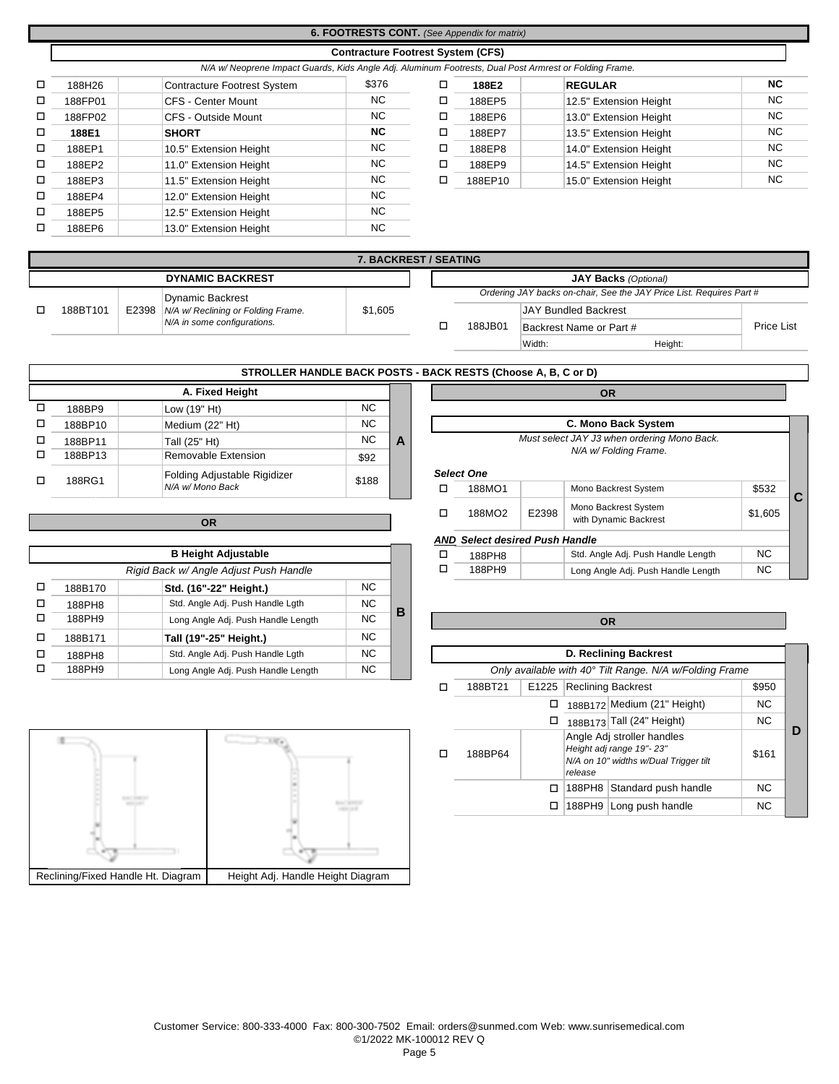# **6. FOOTRESTS CONT.** *(See Appendix for matrix)*

### **Contracture Footrest System (CFS)**

|        |         | N/A w/Neoprene Impact Guards, Kids Angle Adj. Aluminum Footrests, Dual Post Armrest or Folding Frame. |       |   |         |                        |           |
|--------|---------|-------------------------------------------------------------------------------------------------------|-------|---|---------|------------------------|-----------|
| $\Box$ | 188H26  | <b>Contracture Footrest System</b>                                                                    | \$376 |   | 188E2   | <b>REGULAR</b>         | <b>NC</b> |
| □      | 188FP01 | CFS - Center Mount                                                                                    | NC.   | □ | 188EP5  | 12.5" Extension Height | <b>NC</b> |
| $\Box$ | 188FP02 | CFS - Outside Mount                                                                                   | NC.   | ப | 188EP6  | 13.0" Extension Height | <b>NC</b> |
| □      | 188E1   | <b>SHORT</b>                                                                                          | NC.   | □ | 188EP7  | 13.5" Extension Height | <b>NC</b> |
| □      | 188EP1  | 10.5" Extension Height                                                                                | NC.   | □ | 188EP8  | 14.0" Extension Height | <b>NC</b> |
| □      | 188EP2  | 11.0" Extension Height                                                                                | NC.   |   | 188EP9  | 14.5" Extension Height | <b>NC</b> |
| □      | 188EP3  | 11.5" Extension Height                                                                                | NC.   | □ | 188EP10 | 15.0" Extension Height | <b>NC</b> |
| □      | 188EP4  | 12.0" Extension Height                                                                                | NC.   |   |         |                        |           |
| □      | 188EP5  | 12.5" Extension Height                                                                                | NC.   |   |         |                        |           |
| □      | 188EP6  | 13.0" Extension Height                                                                                | NC.   |   |         |                        |           |
|        |         |                                                                                                       |       |   |         |                        |           |

|         | . N/A W/ Neoprene impact Guards, Kids Angle Adj. Aluminum Footrests, Dual Post Armrest or Folding Frame |       |   |         |                        |           |
|---------|---------------------------------------------------------------------------------------------------------|-------|---|---------|------------------------|-----------|
| 188H26  | <b>Contracture Footrest System</b>                                                                      | \$376 |   | 188E2   | <b>REGULAR</b>         | <b>NC</b> |
| 188FP01 | CFS - Center Mount                                                                                      | NC.   | а | 188EP5  | 12.5" Extension Height | NC.       |
| 188FP02 | CFS - Outside Mount                                                                                     | NC.   | ⊐ | 188EP6  | 13.0" Extension Height | NC.       |
| 188E1   | <b>SHORT</b>                                                                                            | NC.   | ⊐ | 188EP7  | 13.5" Extension Height | NC.       |
| 188EP1  | 10.5" Extension Height                                                                                  | NC.   | ⊐ | 188EP8  | 14.0" Extension Height | NC.       |
| 188EP2  | 11.0" Extension Height                                                                                  | NC.   | ⊐ | 188EP9  | 14.5" Extension Height | NC.       |
| 188EP3  | 11.5" Extension Height                                                                                  | NC.   | а | 188EP10 | 15.0" Extension Height | NC.       |
|         |                                                                                                         |       |   |         |                        |           |

|          |       |                                    | <b>7. BACKREST / SEATING</b> |         |                             |                                                                      |                   |
|----------|-------|------------------------------------|------------------------------|---------|-----------------------------|----------------------------------------------------------------------|-------------------|
|          |       | <b>DYNAMIC BACKREST</b>            |                              |         |                             | <b>JAY Backs</b> (Optional)                                          |                   |
|          |       | Dynamic Backrest                   |                              |         |                             | Ordering JAY backs on-chair, See the JAY Price List. Requires Part # |                   |
| 188BT101 | E2398 | N/A w/ Reclining or Folding Frame. | \$1,605                      |         | <b>JAY Bundled Backrest</b> |                                                                      |                   |
|          |       | N/A in some configurations.        |                              | 188JB01 | Backrest Name or Part #     |                                                                      | <b>Price List</b> |
|          |       |                                    |                              |         | Width:                      | Height:                                                              |                   |

|        |         | STROLLER HANDLE BACK POSTS - BACK RESTS (Choose A, B, C or D) |           |   |                     |                                             |
|--------|---------|---------------------------------------------------------------|-----------|---|---------------------|---------------------------------------------|
|        |         | A. Fixed Height                                               |           |   |                     | <b>OR</b>                                   |
| □      | 188BP9  | Low (19" Ht)                                                  | <b>NC</b> |   |                     |                                             |
| $\Box$ | 188BP10 | <b>NC</b>                                                     |           |   | C. Mono Back System |                                             |
| □      | 188BP11 | Tall (25" Ht)                                                 | <b>NC</b> | A |                     | Must select JAY J3 when ordering Mono Back. |
| □      | 188BP13 | Removable Extension                                           | \$92      |   |                     | N/A w/ Folding Frame.                       |
|        | 188RG1  | Folding Adjustable Rigidizer                                  | \$188     |   | <b>Select One</b>   |                                             |
|        |         | N/A w/ Mono Back                                              |           |   | 188MO1              | Mono Backrest System                        |

|   |         |                                        |           |   | AND Select desired Fush Handle |                                                         |  |
|---|---------|----------------------------------------|-----------|---|--------------------------------|---------------------------------------------------------|--|
|   |         | <b>B Height Adjustable</b>             |           |   | 188PH8                         | Std. Angle Adj. Push Handle Length                      |  |
|   |         | Rigid Back w/ Angle Adjust Push Handle |           |   | 188PH9                         | Long Angle Adj. Push Handle Length                      |  |
| □ | 188B170 | Std. (16"-22" Height.)                 | NC.       |   |                                |                                                         |  |
| □ | 188PH8  | Std. Angle Adj. Push Handle Lgth       | NC.       | B |                                |                                                         |  |
| □ | 188PH9  | Long Angle Adj. Push Handle Length     | <b>NC</b> |   |                                | <b>OR</b>                                               |  |
| □ | 188B171 | Tall (19"-25" Height.)                 | NC.       |   |                                |                                                         |  |
| □ | 188PH8  | Std. Angle Adj. Push Handle Lgth       | NC.       |   |                                | <b>D. Reclining Backrest</b>                            |  |
| □ | 188PH9  | Long Angle Adj. Push Handle Length     | <b>NC</b> |   |                                | Only available with 40° Tilt Range. N/A w/Folding Frame |  |



| LOW (19" HI)                           | ت ۱۷      |   |   |                                       |       |                                             |         |   |
|----------------------------------------|-----------|---|---|---------------------------------------|-------|---------------------------------------------|---------|---|
| Medium (22" Ht)                        | NC.       |   |   |                                       |       | <b>C. Mono Back System</b>                  |         |   |
| Tall (25" Ht)                          | <b>NC</b> | A |   |                                       |       | Must select JAY J3 when ordering Mono Back. |         |   |
| Removable Extension                    | \$92      |   |   |                                       |       | N/A w/ Folding Frame.                       |         |   |
| Folding Adjustable Rigidizer           | \$188     |   |   | <b>Select One</b>                     |       |                                             |         |   |
| N/A w/ Mono Back                       |           |   | □ | 188MO1                                |       | Mono Backrest System                        | \$532   | C |
|                                        |           |   | □ | 188MO <sub>2</sub>                    | E2398 | Mono Backrest System                        | \$1,605 |   |
| <b>OR</b>                              |           |   |   |                                       |       | with Dynamic Backrest                       |         |   |
|                                        |           |   |   | <b>AND Select desired Push Handle</b> |       |                                             |         |   |
| <b>B Height Adjustable</b>             |           |   | □ | 188PH8                                |       | Std. Angle Adj. Push Handle Length          | NC.     |   |
| Rigid Back w/ Angle Adjust Push Handle |           |   | □ | 188PH9                                |       | Long Angle Adj. Push Handle Length          | NC      |   |
|                                        |           |   |   |                                       |       |                                             |         |   |

|         |       |         | <b>OR</b>                                                                                       |           |  |
|---------|-------|---------|-------------------------------------------------------------------------------------------------|-----------|--|
|         |       |         | <b>D. Reclining Backrest</b>                                                                    |           |  |
|         |       |         | Only available with 40° Tilt Range. N/A w/Folding Frame                                         |           |  |
| 188BT21 | E1225 |         | <b>Reclining Backrest</b>                                                                       | \$950     |  |
|         | ◻     |         | 188B172 Medium (21" Height)                                                                     | NC.       |  |
|         | □     |         | 188B173 Tall (24" Height)                                                                       | <b>NC</b> |  |
| 188BP64 |       | release | Angle Adj stroller handles<br>Height adj range 19"-23"<br>N/A on 10" widths w/Dual Trigger tilt | \$161     |  |
|         | п     | 188PH8  | Standard push handle                                                                            | <b>NC</b> |  |
|         | П     |         | 188PH9 Long push handle                                                                         | <b>NC</b> |  |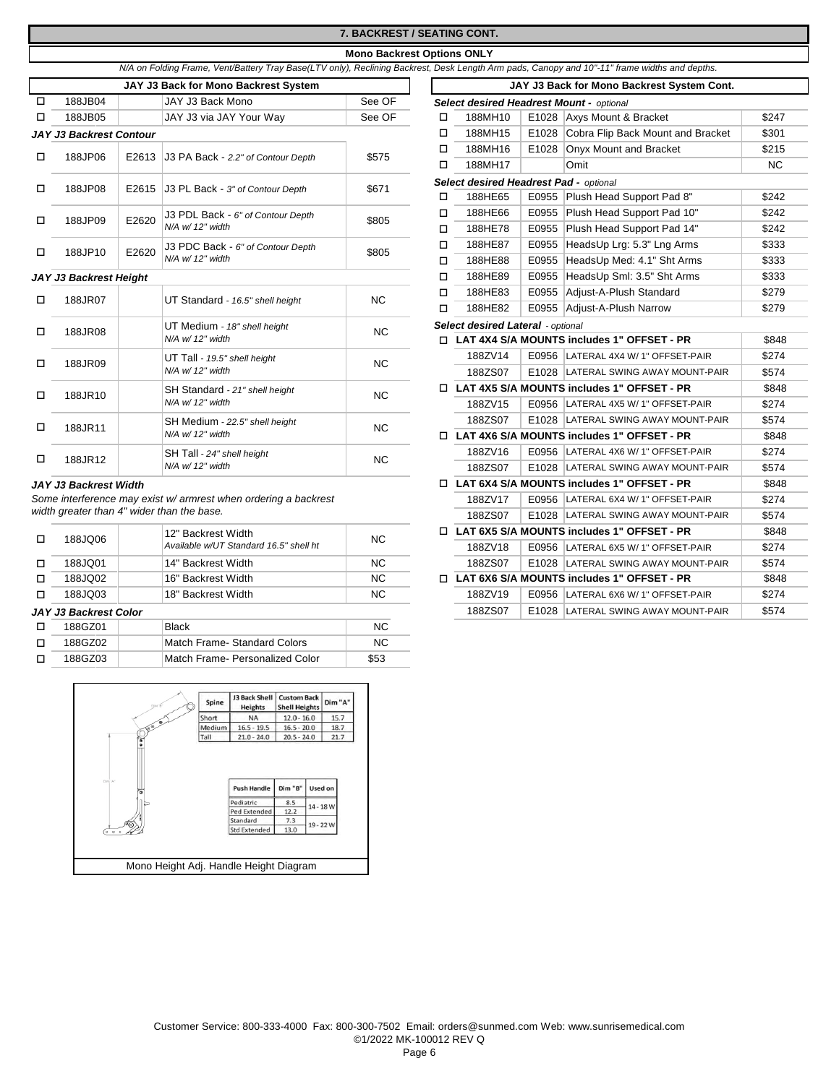# **7. BACKREST / SEATING CONT.**

### **Mono Backrest Options ONLY**

|  | N/A on Folding Frame, Vent/Battery Tray Base(LTV only), Reclining Backrest, Desk Length Arm pads, Canopy and 10"-11" frame widths and depths. |
|--|-----------------------------------------------------------------------------------------------------------------------------------------------|

|              |                                |                  | JAY J3 Back for Mono Backrest System     |           |         | JAY J3 Back for Mono Backrest System Cont. |                                     |                                              |           |  |  |
|--------------|--------------------------------|------------------|------------------------------------------|-----------|---------|--------------------------------------------|-------------------------------------|----------------------------------------------|-----------|--|--|
| $\Box$       | 188JB04                        |                  | JAY J3 Back Mono                         | See OF    |         |                                            |                                     | Select desired Headrest Mount - optional     |           |  |  |
| □            | 188JB05                        |                  | JAY J3 via JAY Your Way                  | See OF    | □       | 188MH10                                    |                                     | E1028 Axys Mount & Bracket                   | \$247     |  |  |
|              | <b>JAY J3 Backrest Contour</b> |                  |                                          |           | □       | 188MH15                                    | E1028                               | Cobra Flip Back Mount and Bracket            | \$301     |  |  |
|              |                                |                  |                                          |           | □       | 188MH16                                    | E1028                               | Onyx Mount and Bracket                       | \$215     |  |  |
| □            | 188JP06                        |                  | E2613 J3 PA Back - 2.2" of Contour Depth | \$575     | п       | 188MH17                                    |                                     | Omit                                         | <b>NC</b> |  |  |
| □            | 188JP08                        |                  | E2615 J3 PL Back - 3" of Contour Depth   |           |         | Select desired Headrest Pad - optional     |                                     |                                              |           |  |  |
|              |                                |                  |                                          | \$671     | □       | 188HE65                                    |                                     | E0955 Plush Head Support Pad 8"              | \$242     |  |  |
| □            | 188JP09                        | E2620            | J3 PDL Back - 6" of Contour Depth        | \$805     | □       | 188HE66                                    | E0955                               | Plush Head Support Pad 10"                   | \$242     |  |  |
|              |                                |                  | N/A w/ 12" width                         |           | □       | 188HE78                                    | E0955                               | Plush Head Support Pad 14"                   | \$242     |  |  |
| □            | 188JP10                        | E2620            | J3 PDC Back - 6" of Contour Depth        | \$805     | □       | 188HE87                                    | E0955                               | HeadsUp Lrg: 5.3" Lng Arms                   | \$333     |  |  |
|              |                                |                  | N/A w/ 12" width                         |           | □       | 188HE88                                    | E0955                               | HeadsUp Med: 4.1" Sht Arms                   | \$333     |  |  |
|              | JAY J3 Backrest Height         |                  |                                          |           | □       | 188HE89                                    | E0955                               | HeadsUp Sml: 3.5" Sht Arms                   | \$333     |  |  |
| □            | 188JR07                        |                  | UT Standard - 16.5" shell height         | <b>NC</b> | □       | 188HE83                                    | E0955                               | Adjust-A-Plush Standard                      | \$279     |  |  |
|              |                                |                  |                                          |           | □       | 188HE82                                    | E0955                               | Adjust-A-Plush Narrow                        | \$279     |  |  |
| □            | 188JR08                        |                  | UT Medium - 18" shell height             | <b>NC</b> |         | Select desired Lateral - optional          |                                     |                                              |           |  |  |
|              |                                |                  | N/A w/ 12" width                         |           |         |                                            |                                     | □ LAT 4X4 S/A MOUNTS includes 1" OFFSET - PR | \$848     |  |  |
| □            | 188JR09                        |                  | UT Tall - 19.5" shell height             | <b>NC</b> |         | 188ZV14                                    |                                     | E0956 LATERAL 4X4 W/ 1" OFFSET-PAIR          | \$274     |  |  |
|              |                                |                  | N/A w/ 12" width                         |           |         | 188ZS07                                    | E1028                               | LATERAL SWING AWAY MOUNT-PAIR                | \$574     |  |  |
| □            | 188JR10                        |                  | SH Standard - 21" shell height           | <b>NC</b> |         |                                            |                                     | □ LAT 4X5 S/A MOUNTS includes 1" OFFSET - PR | \$848     |  |  |
|              |                                |                  | N/A w/ 12" width                         |           |         | 188ZV15                                    |                                     | E0956 LATERAL 4X5 W/ 1" OFFSET-PAIR          | \$274     |  |  |
| □            | 188JR11                        |                  | SH Medium - 22.5" shell height           | NC        |         | 188ZS07                                    |                                     | E1028 LATERAL SWING AWAY MOUNT-PAIR          | \$574     |  |  |
|              |                                |                  | N/A w/ 12" width                         |           |         |                                            |                                     | □ LAT 4X6 S/A MOUNTS includes 1" OFFSET - PR | \$848     |  |  |
|              |                                |                  | SH Tall - 24" shell height               | <b>NC</b> |         | 188ZV16                                    | E0956                               | LATERAL 4X6 W/ 1" OFFSET-PAIR                | \$274     |  |  |
| 188JR12<br>□ |                                | N/A w/ 12" width |                                          |           | 188ZS07 |                                            | E1028 LATERAL SWING AWAY MOUNT-PAIR | \$574                                        |           |  |  |

### $JAY$  J3 Backrest Width

*Some interference may exist w/ armrest when ordering a backrest width greater than 4" wider than the base.*

|  | 188JQ06 | 12" Backrest Width                     | <b>NC</b> | □ LAT 6X5 S/A MOUNTS includes 1" OFFSET - PR      |
|--|---------|----------------------------------------|-----------|---------------------------------------------------|
|  |         | Available w/UT Standard 16.5" shell ht |           | E0956 LATERAL 6X5 W/ 1" OFFSET-PAIR<br>1887V18    |
|  | 188JQ01 | 14" Backrest Width                     | NC.       | E1028 LATERAL SWING AWAY MOUNT-PAIR<br>1887S07    |
|  | 188JQ02 | 16" Backrest Width                     | NC.       | $\Box$ LAT 6X6 S/A MOUNTS includes 1" OFFSET - PR |
|  | 188JQ03 | 18" Backrest Width                     | NC.       | 1887V19<br>E0956 LATERAL 6X6 W/ 1" OFFSET-PAIR    |

# JAY J3 Backrest Color

| 188GZ01 | Black                           | NC.  |
|---------|---------------------------------|------|
| 188G702 | Match Frame- Standard Colors    | NC.  |
| 188GZ03 | Match Frame- Personalized Color | \$53 |



|                         |       | JAY J3 Back for Mono Backrest System                      |           |   |                                              |       | JAY J3 Back for Mono Backrest System Cont.        |           |
|-------------------------|-------|-----------------------------------------------------------|-----------|---|----------------------------------------------|-------|---------------------------------------------------|-----------|
| 188JB04                 |       | JAY J3 Back Mono                                          | See OF    |   |                                              |       | <b>Select desired Headrest Mount - optional</b>   |           |
| 188JB05                 |       | JAY J3 via JAY Your Way                                   | See OF    | □ | 188MH10                                      |       | E1028 Axys Mount & Bracket                        | \$247     |
| <b>Backrest Contour</b> |       |                                                           |           | □ | 188MH15                                      | E1028 | Cobra Flip Back Mount and Bracket                 | \$301     |
|                         |       |                                                           |           | □ | 188MH16                                      | E1028 | Onyx Mount and Bracket                            | \$215     |
| 188JP06                 |       | E2613 J3 PA Back - 2.2" of Contour Depth                  | \$575     | □ | 188MH17                                      |       | Omit                                              | <b>NC</b> |
|                         |       |                                                           |           |   | Select desired Headrest Pad - optional       |       |                                                   |           |
| 188JP08                 |       | E2615 J3 PL Back - 3" of Contour Depth                    | \$671     | □ | 188HE65                                      |       | E0955 Plush Head Support Pad 8"                   | \$242     |
|                         |       | J3 PDL Back - 6" of Contour Depth                         |           | □ | 188HE66                                      |       | E0955 Plush Head Support Pad 10"                  | \$242     |
| 188JP09                 | E2620 | N/A w/ 12" width                                          | \$805     | □ | 188HE78                                      |       | E0955 Plush Head Support Pad 14"                  | \$242     |
|                         | E2620 | J3 PDC Back - 6" of Contour Depth                         | \$805     | □ | 188HE87                                      |       | E0955   HeadsUp Lrg: 5.3" Lng Arms                | \$333     |
| 188JP10                 |       | N/A w/ 12" width                                          |           | □ | 188HE88                                      | E0955 | HeadsUp Med: 4.1" Sht Arms                        | \$333     |
| <b>Backrest Height</b>  |       |                                                           |           | □ | 188HE89                                      | E0955 | HeadsUp Sml: 3.5" Sht Arms                        | \$333     |
|                         |       |                                                           | <b>NC</b> | □ | 188HE83                                      | E0955 | Adjust-A-Plush Standard                           | \$279     |
| 188JR07                 |       | UT Standard - 16.5" shell height                          |           | п | 188HE82                                      | E0955 | Adjust-A-Plush Narrow                             | \$279     |
|                         |       | UT Medium - 18" shell height                              | <b>NC</b> |   | Select desired Lateral - optional            |       |                                                   |           |
| 188JR08                 |       | N/A w/ 12" width                                          |           |   | □ LAT 4X4 S/A MOUNTS includes 1" OFFSET - PR |       |                                                   | \$848     |
|                         |       | UT Tall - 19.5" shell height                              | <b>NC</b> |   | 188ZV14                                      |       | E0956   LATERAL 4X4 W/ 1" OFFSET-PAIR             | \$274     |
| 188JR09                 |       | N/A w/ 12" width                                          |           |   | 188ZS07                                      |       | E1028 LATERAL SWING AWAY MOUNT-PAIR               | \$574     |
| 188JR10                 |       | SH Standard - 21" shell height                            | <b>NC</b> |   |                                              |       | $\Box$ LAT 4X5 S/A MOUNTS includes 1" OFFSET - PR | \$848     |
|                         |       | N/A w/ 12" width                                          |           |   | 188ZV15                                      |       | E0956 LATERAL 4X5 W/ 1" OFFSET-PAIR               | \$274     |
|                         |       | SH Medium - 22.5" shell height                            | <b>NC</b> |   | 188ZS07                                      |       | E1028 LATERAL SWING AWAY MOUNT-PAIR               | \$574     |
| 188JR11                 |       | N/A w/ 12" width                                          |           |   |                                              |       | □ LAT 4X6 S/A MOUNTS includes 1" OFFSET - PR      | \$848     |
|                         |       | SH Tall - 24" shell height                                |           |   | 188ZV16                                      |       | E0956 LATERAL 4X6 W/ 1" OFFSET-PAIR               | \$274     |
| 188JR12                 |       | N/A w/ 12" width                                          | <b>NC</b> |   | 188ZS07                                      |       | E1028 LATERAL SWING AWAY MOUNT-PAIR               | \$574     |
| <b>Backrest Width</b>   |       |                                                           |           |   |                                              |       | □ LAT 6X4 S/A MOUNTS includes 1" OFFSET - PR      | \$848     |
|                         |       | nterference may exist w/ armrest when ordering a backrest |           |   | 188ZV17                                      |       | E0956 LATERAL 6X4 W/ 1" OFFSET-PAIR               | \$274     |
|                         |       | reater than 4" wider than the base.                       |           |   | 188ZS07                                      |       | E1028 LATERAL SWING AWAY MOUNT-PAIR               | \$574     |
|                         |       | 12" Backrest Width                                        |           |   |                                              |       | □ LAT 6X5 S/A MOUNTS includes 1" OFFSET - PR      | \$848     |
| 188JQ06                 |       | Available w/UT Standard 16.5" shell ht                    | <b>NC</b> |   | 188ZV18                                      |       | E0956 LATERAL 6X5 W/ 1" OFFSET-PAIR               | \$274     |
| 188JQ01                 |       | 14" Backrest Width                                        | <b>NC</b> |   | 188ZS07                                      |       | E1028 LATERAL SWING AWAY MOUNT-PAIR               | \$574     |
| 188JQ02                 |       | 16" Backrest Width                                        | <b>NC</b> |   |                                              |       | □ LAT 6X6 S/A MOUNTS includes 1" OFFSET - PR      | \$848     |
| 188JQ03                 |       | 18" Backrest Width                                        | <b>NC</b> |   | 188ZV19                                      |       | E0956 LATERAL 6X6 W/ 1" OFFSET-PAIR               | \$274     |
| <b>Backrest Color</b>   |       |                                                           |           |   | 188ZS07                                      |       | E1028 LATERAL SWING AWAY MOUNT-PAIR               | \$574     |
| 188GZ01                 |       | <b>Black</b>                                              | <b>NC</b> |   |                                              |       |                                                   |           |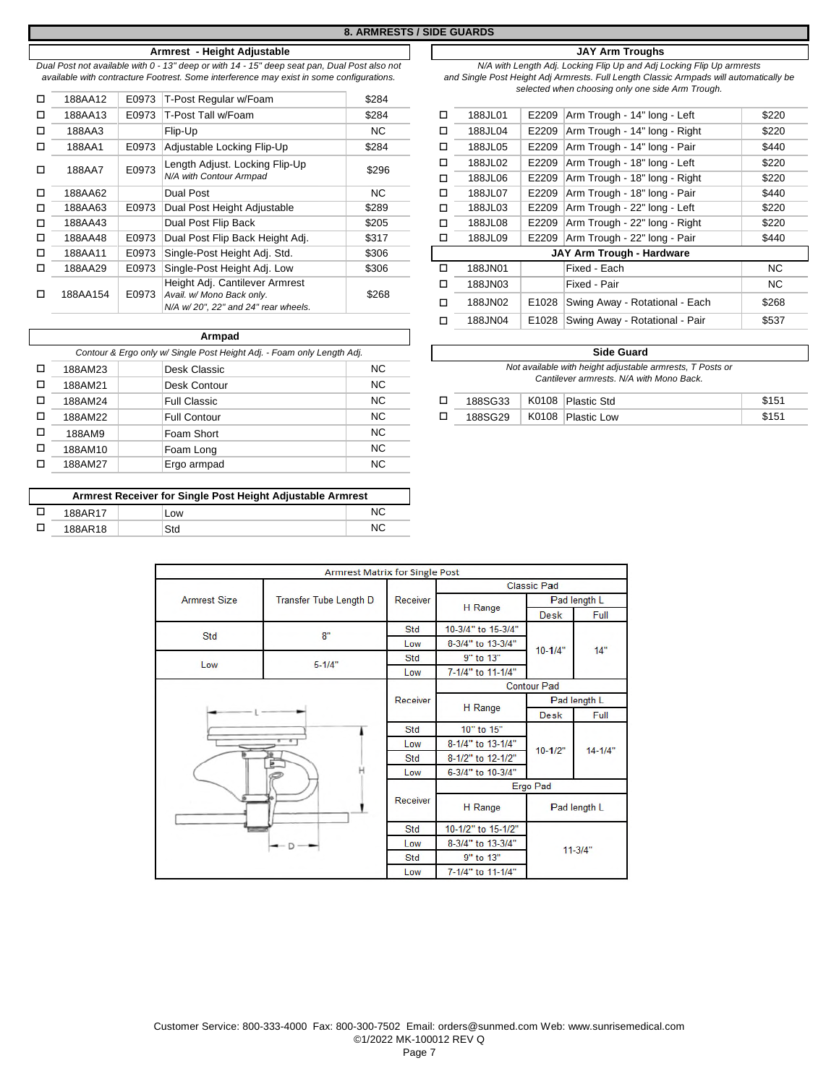*Dual Post not available with 0 - 13" deep or with 14 - 15" deep seat pan, Dual Post also not available with contracture Footrest. Some interference may exist in some configurations.*

| □      | 188AA12  | E0973 | T-Post Regular w/Foam                                            | \$284 |   |         |       |                             |
|--------|----------|-------|------------------------------------------------------------------|-------|---|---------|-------|-----------------------------|
| □      | 188AA13  | E0973 | T-Post Tall w/Foam                                               | \$284 | □ | 188JL01 | E2209 | Arm Trough - 14" long - Le  |
| $\Box$ | 188AA3   |       | Flip-Up                                                          | NC.   | □ | 188JL04 | E2209 | Arm Trough - 14" long - Rig |
| □      | 188AA1   | E0973 | Adjustable Locking Flip-Up                                       | \$284 | □ | 188JL05 | E2209 | Arm Trough - 14" long - Pa  |
| $\Box$ | 188AA7   | E0973 | Length Adjust. Locking Flip-Up                                   | \$296 | □ | 188JL02 | E2209 | Arm Trough - 18" long - Le  |
|        |          |       | N/A with Contour Armpad                                          |       | □ | 188JL06 | E2209 | Arm Trough - 18" long - Rio |
| $\Box$ | 188AA62  |       | Dual Post                                                        | NC.   | □ | 188JL07 | E2209 | Arm Trough - 18" long - Pa  |
| $\Box$ | 188AA63  | E0973 | Dual Post Height Adjustable                                      | \$289 | □ | 188JL03 | E2209 | Arm Trough - 22" long - Le  |
| о      | 188AA43  |       | Dual Post Flip Back                                              | \$205 | □ | 188JL08 | E2209 | Arm Trough - 22" long - Rio |
| $\Box$ | 188AA48  | E0973 | Dual Post Flip Back Height Adj.                                  | \$317 | □ | 188JL09 | E2209 | Arm Trough - 22" long - Pa  |
| о      | 188AA11  | E0973 | Single-Post Height Adj. Std.                                     | \$306 |   |         |       | JAY Arm Trough - Hardware   |
| □      | 188AA29  | E0973 | Single-Post Height Adi, Low                                      | \$306 | □ | 188JN01 |       | Fixed - Each                |
|        |          |       | Height Adj. Cantilever Armrest                                   |       | □ | 188JN03 |       | Fixed - Pair                |
| □      | 188AA154 | E0973 | Avail. w/ Mono Back only.<br>N/A w/20", 22" and 24" rear wheels. | \$268 | □ | 188JN02 | E1028 | Swing Away - Rotational - I |
|        |          |       |                                                                  |       |   |         |       |                             |

|                                                                        |         | Armpad              |           |  |                                                                                                       |       |             |  |  |
|------------------------------------------------------------------------|---------|---------------------|-----------|--|-------------------------------------------------------------------------------------------------------|-------|-------------|--|--|
| Contour & Ergo only w/ Single Post Height Adj. - Foam only Length Adj. |         |                     |           |  | <b>Side Guard</b>                                                                                     |       |             |  |  |
| □                                                                      | 188AM23 | Desk Classic        | <b>NC</b> |  | Not available with height adjustable armrests, T Posts or<br>Cantilever armrests. N/A with Mono Back. |       |             |  |  |
| □                                                                      | 188AM21 | Desk Contour        | <b>NC</b> |  |                                                                                                       |       |             |  |  |
| □                                                                      | 188AM24 | <b>Full Classic</b> | NC.       |  | 188SG33                                                                                               | K0108 | Plastic Std |  |  |
| $\Box$                                                                 | 188AM22 | <b>Full Contour</b> | NC.       |  | 188SG29                                                                                               | K0108 | Plastic Low |  |  |
| □                                                                      | 188AM9  | Foam Short          | <b>NC</b> |  |                                                                                                       |       |             |  |  |
| □                                                                      | 188AM10 | Foam Long           | <b>NC</b> |  |                                                                                                       |       |             |  |  |
| п                                                                      | 188AM27 | Ergo armpad         | <b>NC</b> |  |                                                                                                       |       |             |  |  |

| Armrest Receiver for Single Post Height Adjustable Armrest |     |    |  |  |  |  |  |
|------------------------------------------------------------|-----|----|--|--|--|--|--|
| 188AR17                                                    | Low |    |  |  |  |  |  |
| 188AR18                                                    | Std | ΝC |  |  |  |  |  |

# **Armrest - Height Adjustable JAY Arm Troughs**

*N/A with Length Adj. Locking Flip Up and Adj Locking Flip Up armrests and Single Post Height Adj Armrests. Full Length Classic Armpads will automatically be selected when choosing only one side Arm Trough.*

| 188AA13 | E0973 | T-Post Tall w/Foam                                                 | \$284 | □ | 188JL01 | E2209 | Arm Trough - 14" long - Left   | \$220 |
|---------|-------|--------------------------------------------------------------------|-------|---|---------|-------|--------------------------------|-------|
| 188AA3  |       | Flip-Up                                                            | NC.   | □ | 188JL04 | E2209 | Arm Trough - 14" long - Right  | \$220 |
| 188AA1  | E0973 | Adjustable Locking Flip-Up                                         | \$284 | □ | 188JL05 | E2209 | Arm Trough - 14" long - Pair   | \$440 |
| 188AA7  | E0973 | Length Adjust. Locking Flip-Up                                     | \$296 | □ | 188JL02 | E2209 | Arm Trough - 18" long - Left   | \$220 |
|         |       | N/A with Contour Armpad                                            |       | □ | 188JL06 | E2209 | Arm Trough - 18" long - Right  | \$220 |
| 188AA62 |       | Dual Post                                                          | NC.   | □ | 188JL07 | E2209 | Arm Trough - 18" long - Pair   | \$440 |
| 188AA63 | E0973 | Dual Post Height Adjustable                                        | \$289 | □ | 188JL03 | E2209 | Arm Trough - 22" long - Left   | \$220 |
| 188AA43 |       | Dual Post Flip Back                                                | \$205 | □ | 188JL08 | E2209 | Arm Trough - 22" long - Right  | \$220 |
| 188AA48 | E0973 | Dual Post Flip Back Height Adj.                                    | \$317 | ◻ | 188JL09 | E2209 | Arm Trough - 22" long - Pair   | \$440 |
| 188AA11 | E0973 | Single-Post Height Adj. Std.                                       | \$306 |   |         |       | JAY Arm Trough - Hardware      |       |
| 188AA29 | E0973 | Single-Post Height Adj. Low                                        | \$306 | ◻ | 188JN01 |       | Fixed - Each                   | NC.   |
|         |       | Height Adj. Cantilever Armrest                                     |       | □ | 188JN03 |       | Fixed - Pair                   | NC.   |
| 88AA154 | E0973 | Avail. w/ Mono Back only.<br>$N/A$ w/20". 22" and 24" rear wheels. | \$268 | ◻ | 188JN02 | E1028 | Swing Away - Rotational - Each | \$268 |
|         |       |                                                                    |       | □ | 188JN04 | E1028 | Swing Away - Rotational - Pair | \$537 |
|         |       |                                                                    |       |   |         |       |                                |       |

| <b>Side Guard</b>                                                                                     |       |                    |       |  |  |  |  |  |
|-------------------------------------------------------------------------------------------------------|-------|--------------------|-------|--|--|--|--|--|
| Not available with height adjustable armrests, T Posts or<br>Cantilever armrests. N/A with Mono Back. |       |                    |       |  |  |  |  |  |
| 188SG33                                                                                               | K0108 | Plastic Std        | \$151 |  |  |  |  |  |
| 188SG29                                                                                               | K0108 | <b>Plastic Low</b> | \$151 |  |  |  |  |  |

|                     | <b>Armrest Matrix for Single Post</b> |          |                    |                                                           |              |  |
|---------------------|---------------------------------------|----------|--------------------|-----------------------------------------------------------|--------------|--|
|                     |                                       |          |                    | <b>Classic Pad</b>                                        |              |  |
| <b>Armrest Size</b> | <b>Transfer Tube Length D</b>         | Receiver |                    | Pad length L                                              |              |  |
|                     |                                       |          | H Range            | <b>Desk</b><br>$10 - 1/4"$<br><b>Desk</b><br>$10 - 1/2$ " | Full         |  |
| <b>Std</b>          | 8"                                    | Std      | 10-3/4" to 15-3/4" |                                                           |              |  |
|                     |                                       | Low      | 8-3/4" to 13-3/4"  |                                                           | 14"          |  |
| Low                 | $5 - 1/4"$                            | Std      | 9" to 13"          |                                                           |              |  |
|                     |                                       | Low      | 7-1/4" to 11-1/4"  |                                                           |              |  |
|                     |                                       |          |                    | <b>Contour Pad</b>                                        |              |  |
|                     |                                       | Receiver | H Range            | Pad length L                                              |              |  |
|                     |                                       |          |                    |                                                           | Full         |  |
|                     |                                       | Std      | 10" to 15"         |                                                           | $14 - 1/4"$  |  |
|                     |                                       | Low      | 8-1/4" to 13-1/4"  |                                                           |              |  |
|                     |                                       | Std      | 8-1/2" to 12-1/2"  |                                                           |              |  |
|                     | н                                     | Low      | 6-3/4" to 10-3/4"  |                                                           |              |  |
|                     |                                       |          |                    | Ergo Pad                                                  |              |  |
|                     |                                       | Receiver | H Range            |                                                           | Pad length L |  |
|                     |                                       | Std      | 10-1/2" to 15-1/2" |                                                           |              |  |
|                     | $D -$                                 | Low      | 8-3/4" to 13-3/4"  |                                                           |              |  |
|                     |                                       | Std      | 9" to 13"          | $11-3/4"$                                                 |              |  |
|                     |                                       | Low      | 7-1/4" to 11-1/4"  |                                                           |              |  |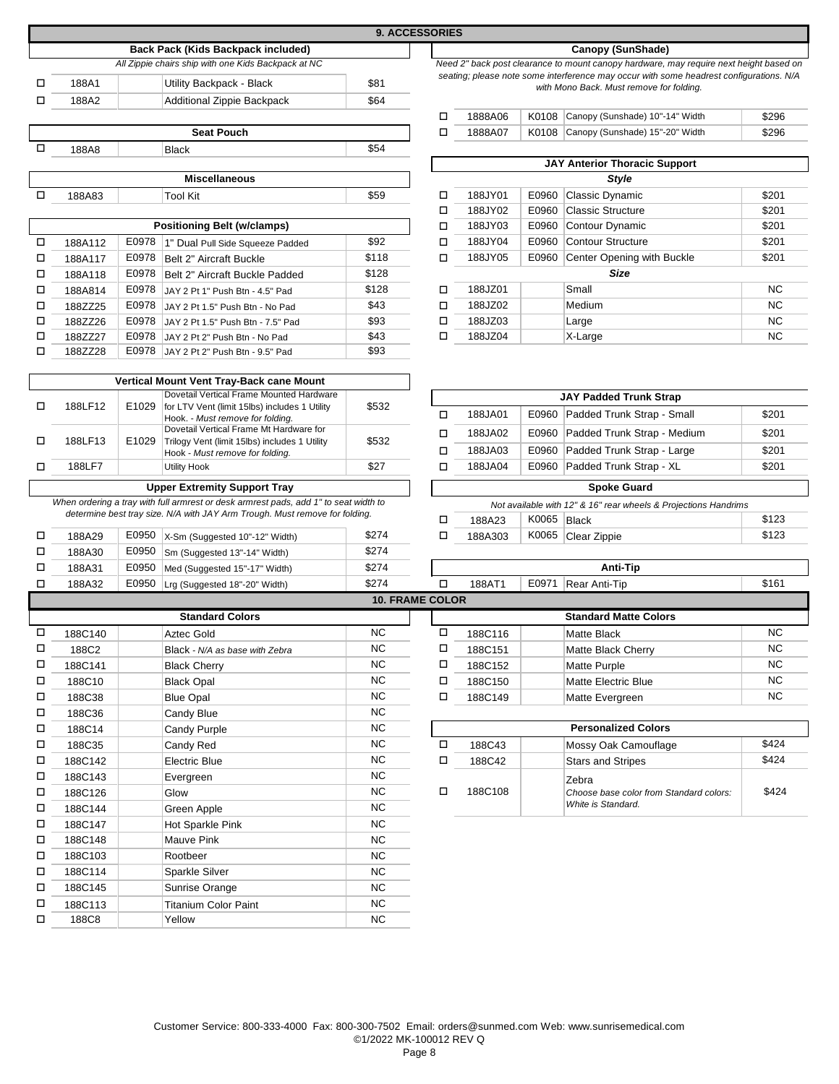|   |                  |       |                                                                                                                                                                     |                  | <b>9. ACCESSORIES</b>  |                    |                |                                                                                                                                 |                |
|---|------------------|-------|---------------------------------------------------------------------------------------------------------------------------------------------------------------------|------------------|------------------------|--------------------|----------------|---------------------------------------------------------------------------------------------------------------------------------|----------------|
|   |                  |       | Back Pack (Kids Backpack included)                                                                                                                                  |                  |                        |                    |                | Canopy (SunShade)                                                                                                               |                |
|   |                  |       | All Zippie chairs ship with one Kids Backpack at NC                                                                                                                 |                  |                        |                    |                | Need 2" back post clearance to mount canopy hardware, may require next height base                                              |                |
| □ | 188A1            |       | Utility Backpack - Black                                                                                                                                            | \$81             |                        |                    |                | seating; please note some interference may occur with some headrest configurations.<br>with Mono Back. Must remove for folding. |                |
| □ | 188A2            |       | Additional Zippie Backpack                                                                                                                                          | \$64             |                        |                    |                |                                                                                                                                 |                |
|   |                  |       |                                                                                                                                                                     |                  | □                      | 1888A06            | K0108          | Canopy (Sunshade) 10"-14" Width                                                                                                 | \$296          |
|   |                  |       | <b>Seat Pouch</b>                                                                                                                                                   |                  | $\Box$                 | 1888A07            | K0108          | Canopy (Sunshade) 15"-20" Width                                                                                                 | \$296          |
| □ | 188A8            |       | <b>Black</b>                                                                                                                                                        | \$54             |                        |                    |                |                                                                                                                                 |                |
|   |                  |       |                                                                                                                                                                     |                  |                        |                    |                | <b>JAY Anterior Thoracic Support</b>                                                                                            |                |
|   |                  |       | <b>Miscellaneous</b>                                                                                                                                                |                  |                        |                    |                | <b>Style</b>                                                                                                                    |                |
| □ | 188A83           |       | <b>Tool Kit</b>                                                                                                                                                     | \$59             | □                      | 188JY01            | E0960          | Classic Dynamic                                                                                                                 | \$201          |
|   |                  |       | <b>Positioning Belt (w/clamps)</b>                                                                                                                                  |                  | о<br>□                 | 188JY02<br>188JY03 | E0960<br>E0960 | <b>Classic Structure</b><br>Contour Dynamic                                                                                     | \$201<br>\$201 |
| □ | 188A112          | E0978 | 1" Dual Pull Side Squeeze Padded                                                                                                                                    | \$92             | о                      | 188JY04            | E0960          | <b>Contour Structure</b>                                                                                                        | \$201          |
| □ | 188A117          | E0978 | Belt 2" Aircraft Buckle                                                                                                                                             | \$118            | □                      | 188JY05            | E0960          | Center Opening with Buckle                                                                                                      | \$201          |
| □ | 188A118          | E0978 | Belt 2" Aircraft Buckle Padded                                                                                                                                      | \$128            |                        |                    |                | <b>Size</b>                                                                                                                     |                |
| □ | 188A814          | E0978 | JAY 2 Pt 1" Push Btn - 4.5" Pad                                                                                                                                     | \$128            | □                      | 188JZ01            |                | Small                                                                                                                           | <b>NC</b>      |
| □ | 188ZZ25          | E0978 | JAY 2 Pt 1.5" Push Btn - No Pad                                                                                                                                     | \$43             | □                      | 188JZ02            |                | Medium                                                                                                                          | <b>NC</b>      |
| □ | 188ZZ26          | E0978 | JAY 2 Pt 1.5" Push Btn - 7.5" Pad                                                                                                                                   | \$93             | □                      | 188JZ03            |                | Large                                                                                                                           | NC             |
| □ | 188ZZ27          | E0978 | JAY 2 Pt 2" Push Btn - No Pad                                                                                                                                       | \$43             | □                      | 188JZ04            |                | X-Large                                                                                                                         | <b>NC</b>      |
| □ | 188ZZ28          | E0978 | JAY 2 Pt 2" Push Btn - 9.5" Pad                                                                                                                                     | \$93             |                        |                    |                |                                                                                                                                 |                |
|   |                  |       |                                                                                                                                                                     |                  |                        |                    |                |                                                                                                                                 |                |
|   |                  |       | Vertical Mount Vent Tray-Back cane Mount<br>Dovetail Vertical Frame Mounted Hardware                                                                                |                  |                        |                    |                |                                                                                                                                 |                |
| □ | 188LF12          | E1029 | for LTV Vent (limit 15lbs) includes 1 Utility                                                                                                                       | \$532            |                        |                    |                | <b>JAY Padded Trunk Strap</b>                                                                                                   |                |
|   |                  |       | Hook. - Must remove for folding.<br>Dovetail Vertical Frame Mt Hardware for                                                                                         |                  | о                      | 188JA01            | E0960          | Padded Trunk Strap - Small                                                                                                      | \$201          |
| □ | 188LF13          | E1029 | Trilogy Vent (limit 15lbs) includes 1 Utility                                                                                                                       | \$532            | □                      | 188JA02            | E0960          | Padded Trunk Strap - Medium                                                                                                     | \$201          |
|   |                  |       | Hook - Must remove for folding.                                                                                                                                     |                  | □                      | 188JA03            | E0960          | Padded Trunk Strap - Large                                                                                                      | \$201          |
| □ | 188LF7           |       | <b>Utility Hook</b>                                                                                                                                                 | \$27             | □                      | 188JA04            | E0960          | Padded Trunk Strap - XL                                                                                                         | \$201          |
|   |                  |       | <b>Upper Extremity Support Tray</b>                                                                                                                                 |                  |                        |                    |                | <b>Spoke Guard</b>                                                                                                              |                |
|   |                  |       | When ordering a tray with full armrest or desk armrest pads, add 1" to seat width to<br>determine best tray size. N/A with JAY Arm Trough. Must remove for folding. |                  |                        |                    |                | Not available with 12" & 16" rear wheels & Projections Handrims                                                                 |                |
|   |                  |       |                                                                                                                                                                     |                  | □                      | 188A23             | K0065          | Black                                                                                                                           | \$123          |
| □ | 188A29           | E0950 | X-Sm (Suggested 10"-12" Width)                                                                                                                                      | \$274            | □                      | 188A303            | K0065          | Clear Zippie                                                                                                                    | \$123          |
| □ | 188A30           | E0950 | Sm (Suggested 13"-14" Width)                                                                                                                                        | \$274<br>\$274   |                        |                    |                |                                                                                                                                 |                |
| □ | 188A31           | E0950 | Med (Suggested 15"-17" Width)                                                                                                                                       | \$274            | $\Box$                 |                    | E0971          | Anti-Tip                                                                                                                        | \$161          |
| □ | 188A32           | E0950 | Lrg (Suggested 18"-20" Width)                                                                                                                                       |                  | <b>10. FRAME COLOR</b> | 188AT1             |                | Rear Anti-Tip                                                                                                                   |                |
|   |                  |       | <b>Standard Colors</b>                                                                                                                                              |                  |                        |                    |                | <b>Standard Matte Colors</b>                                                                                                    |                |
| □ | 188C140          |       | <b>Aztec Gold</b>                                                                                                                                                   | <b>NC</b>        | □                      | 188C116            |                | <b>Matte Black</b>                                                                                                              | <b>NC</b>      |
| □ | 188C2            |       | Black - N/A as base with Zebra                                                                                                                                      | NC.              | П                      | 188C151            |                | Matte Black Cherry                                                                                                              | <b>NC</b>      |
| □ | 188C141          |       | <b>Black Cherry</b>                                                                                                                                                 | <b>NC</b>        | □                      | 188C152            |                | <b>Matte Purple</b>                                                                                                             | <b>NC</b>      |
| □ | 188C10           |       | <b>Black Opal</b>                                                                                                                                                   | NC.              | □                      | 188C150            |                | Matte Electric Blue                                                                                                             | <b>NC</b>      |
| □ | 188C38           |       | <b>Blue Opal</b>                                                                                                                                                    | NC.              | □                      | 188C149            |                | Matte Evergreen                                                                                                                 | <b>NC</b>      |
| □ | 188C36           |       | Candy Blue                                                                                                                                                          | <b>NC</b>        |                        |                    |                |                                                                                                                                 |                |
| □ | 188C14           |       | Candy Purple                                                                                                                                                        | <b>NC</b>        |                        |                    |                | <b>Personalized Colors</b>                                                                                                      |                |
| □ | 188C35           |       | Candy Red                                                                                                                                                           | NC.              | □                      | 188C43             |                | Mossy Oak Camouflage                                                                                                            | \$424          |
| □ | 188C142          |       | Electric Blue                                                                                                                                                       | NC.              | □                      | 188C42             |                | <b>Stars and Stripes</b>                                                                                                        | \$424          |
| □ | 188C143          |       | Evergreen                                                                                                                                                           | <b>NC</b>        |                        |                    |                | Zebra                                                                                                                           |                |
| □ | 188C126          |       | Glow                                                                                                                                                                | NC.              | □                      | 188C108            |                | Choose base color from Standard colors:                                                                                         | \$424          |
| □ | 188C144          |       | Green Apple                                                                                                                                                         | NC.              |                        |                    |                | White is Standard.                                                                                                              |                |
| □ | 188C147          |       | Hot Sparkle Pink                                                                                                                                                    | NC.              |                        |                    |                |                                                                                                                                 |                |
| □ | 188C148          |       | Mauve Pink                                                                                                                                                          | <b>NC</b>        |                        |                    |                |                                                                                                                                 |                |
| □ | 188C103          |       | Rootbeer                                                                                                                                                            | NC.              |                        |                    |                |                                                                                                                                 |                |
| □ | 188C114          |       | Sparkle Silver                                                                                                                                                      | NC.              |                        |                    |                |                                                                                                                                 |                |
| □ | 188C145          |       | Sunrise Orange                                                                                                                                                      | NC.<br><b>NC</b> |                        |                    |                |                                                                                                                                 |                |
| □ | 188C113<br>188C8 |       | <b>Titanium Color Paint</b><br>Yellow                                                                                                                               | NC               |                        |                    |                |                                                                                                                                 |                |
| □ |                  |       |                                                                                                                                                                     |                  |                        |                    |                |                                                                                                                                 |                |

# $Canopy (SunShade)$

|            | 1888A06 | K0108 Canopy (Sunshade) 10"-14" Width | \$296 |
|------------|---------|---------------------------------------|-------|
| Seat Pouch | 1888A07 | K0108 Canopy (Sunshade) 15"-20" Width | \$296 |

|                      |                                    |       |   |         |              | <b>JAY Anterior Thoracic Support</b> |       |
|----------------------|------------------------------------|-------|---|---------|--------------|--------------------------------------|-------|
| <b>Miscellaneous</b> |                                    |       |   |         | <b>Style</b> |                                      |       |
|                      | <b>Tool Kit</b>                    | \$59  | □ | 188JY01 | E0960        | Classic Dynamic                      | \$201 |
|                      |                                    |       | ◻ | 188JY02 | E0960        | Classic Structure                    | \$201 |
|                      | <b>Positioning Belt (w/clamps)</b> |       | □ | 188JY03 | E0960        | Contour Dynamic                      | \$201 |
|                      | 1" Dual Pull Side Squeeze Padded   | \$92  | □ | 188JY04 | E0960        | Contour Structure                    | \$201 |
|                      | Belt 2" Aircraft Buckle            | \$118 | □ | 188JY05 | E0960        | Center Opening with Buckle           | \$201 |
|                      | Belt 2" Aircraft Buckle Padded     | \$128 |   |         |              | <b>Size</b>                          |       |
|                      | JAY 2 Pt 1" Push Btn - 4.5" Pad    | \$128 | □ | 188JZ01 |              | Small                                | NC.   |
|                      | JAY 2 Pt 1.5" Push Btn - No Pad    | \$43  | □ | 188JZ02 |              | Medium                               | NC.   |
|                      | JAY 2 Pt 1.5" Push Btn - 7.5" Pad  | \$93  | □ | 188JZ03 |              | Large                                | NC.   |
|                      | JAY 2 Pt 2" Push Btn - No Pad      | \$43  |   | 188JZ04 |              | X-Large                              | NC.   |
|                      |                                    |       |   |         |              |                                      |       |

| <b>JAY Padded Trunk Strap</b> |                                                                 |        |                             |       |  |  |  |  |  |  |
|-------------------------------|-----------------------------------------------------------------|--------|-----------------------------|-------|--|--|--|--|--|--|
|                               | 188JA01                                                         | E0960  | \$201                       |       |  |  |  |  |  |  |
|                               | 188JA02                                                         | E0960  | Padded Trunk Strap - Medium | \$201 |  |  |  |  |  |  |
|                               | 188JA03                                                         | E0960  | Padded Trunk Strap - Large  | \$201 |  |  |  |  |  |  |
|                               | 188JA04                                                         | E0960  | Padded Trunk Strap - XL     | \$201 |  |  |  |  |  |  |
| <b>Spoke Guard</b>            |                                                                 |        |                             |       |  |  |  |  |  |  |
|                               | Not available with 12" & 16" rear wheels & Projections Handrims |        |                             |       |  |  |  |  |  |  |
| -                             | .00133                                                          | KOOGE. | $-1$                        | 0.100 |  |  |  |  |  |  |

| □ | 188A23 | $\vert$ K0065 Black |                                | 123  |
|---|--------|---------------------|--------------------------------|------|
| □ |        |                     | 188A303   K0065   Clear Zippie | 5123 |
|   |        |                     |                                |      |

| 188A31 |                        | EU950   Med (Suggested 15"-17" Width) | \$274     |   | Anti-Tip                                  |  |                              |           |  |  |  |  |
|--------|------------------------|---------------------------------------|-----------|---|-------------------------------------------|--|------------------------------|-----------|--|--|--|--|
| 88A32  |                        | E0950   Lrg (Suggested 18"-20" Width) | \$274     | □ | E0971<br>\$161<br>Rear Anti-Tip<br>188AT1 |  |                              |           |  |  |  |  |
|        | <b>10. FRAME COLOR</b> |                                       |           |   |                                           |  |                              |           |  |  |  |  |
|        |                        | <b>Standard Colors</b>                |           |   |                                           |  | <b>Standard Matte Colors</b> |           |  |  |  |  |
| 88C140 |                        | Aztec Gold                            | NC.       |   | 188C116                                   |  | Matte Black                  | NC.       |  |  |  |  |
| 188C2  |                        | Black - N/A as base with Zebra        | <b>NC</b> | □ | 188C151                                   |  | Matte Black Cherry           | <b>NC</b> |  |  |  |  |
| 88C141 |                        | <b>Black Cherry</b>                   | <b>NC</b> | □ | 188C152                                   |  | Matte Purple                 | <b>NC</b> |  |  |  |  |
| 88C10  |                        | <b>Black Opal</b>                     | <b>NC</b> | □ | 188C150                                   |  | Matte Electric Blue          | <b>NC</b> |  |  |  |  |
| 88C38  |                        | <b>Blue Opal</b>                      | <b>NC</b> |   | 188C149                                   |  | Matte Evergreen              | <b>NC</b> |  |  |  |  |
| .      |                        |                                       | $\cdots$  |   |                                           |  |                              |           |  |  |  |  |

| <b>Personalized Colors</b> |         |                                                                        |       |  |  |  |  |  |
|----------------------------|---------|------------------------------------------------------------------------|-------|--|--|--|--|--|
|                            | 188C43  | Mossy Oak Camouflage                                                   | \$424 |  |  |  |  |  |
|                            | 188C42  | <b>Stars and Stripes</b>                                               | \$424 |  |  |  |  |  |
|                            | 188C108 | Zebra<br>Choose base color from Standard colors:<br>White is Standard. | \$424 |  |  |  |  |  |